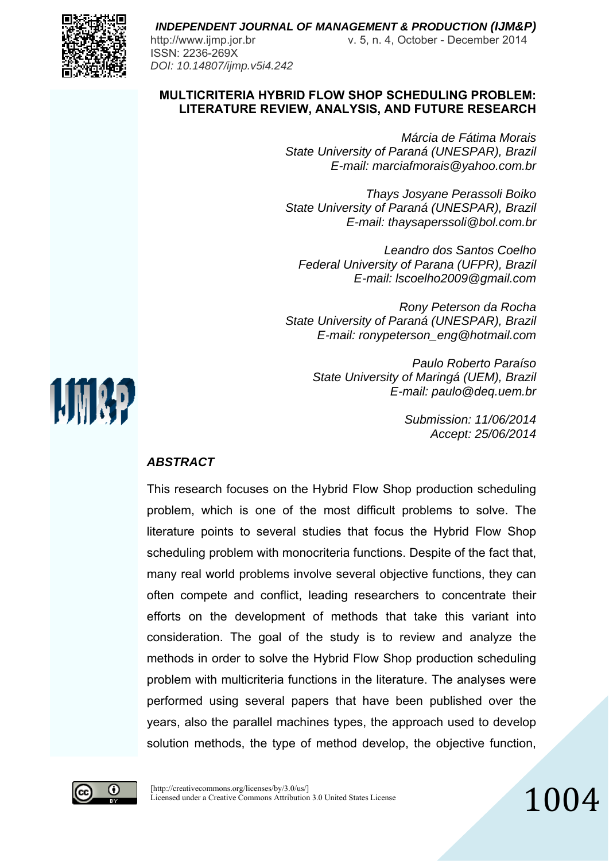

http://www.ijmp.jor.br v. 5, n. 4, October - December 2014

#### **MULTICRITERIA HYBRID FLOW SHOP SCHEDULING PROBLEM: LITERATURE REVIEW, ANALYSIS, AND FUTURE RESEARCH**

*Márcia de Fátima Morais State University of Paraná (UNESPAR), Brazil E-mail: marciafmorais@yahoo.com.br* 

*Thays Josyane Perassoli Boiko State University of Paraná (UNESPAR), Brazil E-mail: thaysaperssoli@bol.com.br* 

*Leandro dos Santos Coelho Federal University of Parana (UFPR), Brazil E-mail: lscoelho2009@gmail.com* 

*Rony Peterson da Rocha State University of Paraná (UNESPAR), Brazil E-mail: ronypeterson\_eng@hotmail.com* 

> *Paulo Roberto Paraíso State University of Maringá (UEM), Brazil E-mail: paulo@deq.uem.br*

> > *Submission: 11/06/2014 Accept: 25/06/2014*

## *ABSTRACT*

This research focuses on the Hybrid Flow Shop production scheduling problem, which is one of the most difficult problems to solve. The literature points to several studies that focus the Hybrid Flow Shop scheduling problem with monocriteria functions. Despite of the fact that, many real world problems involve several objective functions, they can often compete and conflict, leading researchers to concentrate their efforts on the development of methods that take this variant into consideration. The goal of the study is to review and analyze the methods in order to solve the Hybrid Flow Shop production scheduling problem with multicriteria functions in the literature. The analyses were performed using several papers that have been published over the years, also the parallel machines types, the approach used to develop solution methods, the type of method develop, the objective function,



**UMAP** 

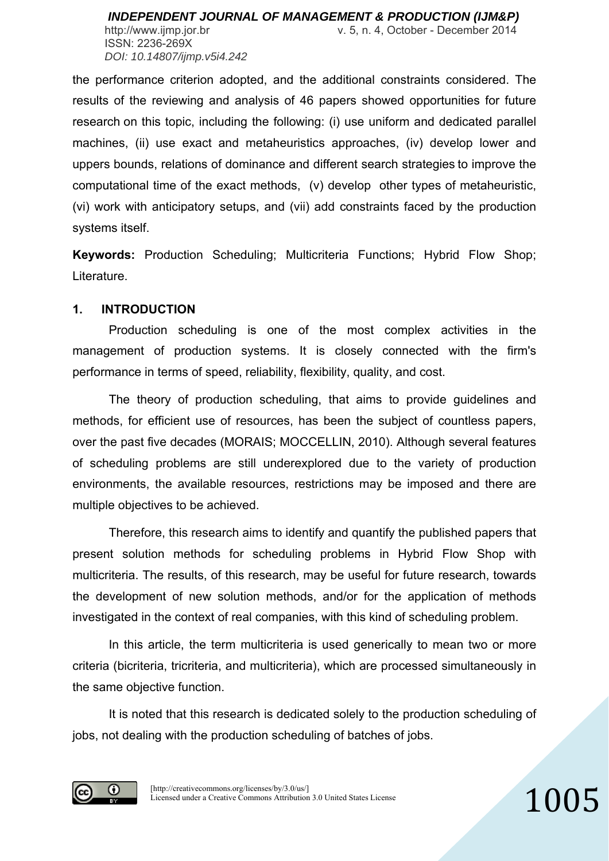ISSN: 2236-269X *DOI: 10.14807/ijmp.v5i4.242*

http://www.ijmp.jor.br v. 5, n. 4, October - December 2014

the performance criterion adopted, and the additional constraints considered. The results of the reviewing and analysis of 46 papers showed opportunities for future research on this topic, including the following: (i) use uniform and dedicated parallel machines, (ii) use exact and metaheuristics approaches, (iv) develop lower and uppers bounds, relations of dominance and different search strategies to improve the computational time of the exact methods, (v) develop other types of metaheuristic, (vi) work with anticipatory setups, and (vii) add constraints faced by the production systems itself.

**Keywords:** Production Scheduling; Multicriteria Functions; Hybrid Flow Shop; Literature.

#### **1. INTRODUCTION**

 Production scheduling is one of the most complex activities in the management of production systems. It is closely connected with the firm's performance in terms of speed, reliability, flexibility, quality, and cost.

 The theory of production scheduling, that aims to provide guidelines and methods, for efficient use of resources, has been the subject of countless papers, over the past five decades (MORAIS; MOCCELLIN, 2010). Although several features of scheduling problems are still underexplored due to the variety of production environments, the available resources, restrictions may be imposed and there are multiple objectives to be achieved.

 Therefore, this research aims to identify and quantify the published papers that present solution methods for scheduling problems in Hybrid Flow Shop with multicriteria. The results, of this research, may be useful for future research, towards the development of new solution methods, and/or for the application of methods investigated in the context of real companies, with this kind of scheduling problem.

In this article, the term multicriteria is used generically to mean two or more criteria (bicriteria, tricriteria, and multicriteria), which are processed simultaneously in the same objective function.

It is noted that this research is dedicated solely to the production scheduling of jobs, not dealing with the production scheduling of batches of jobs.

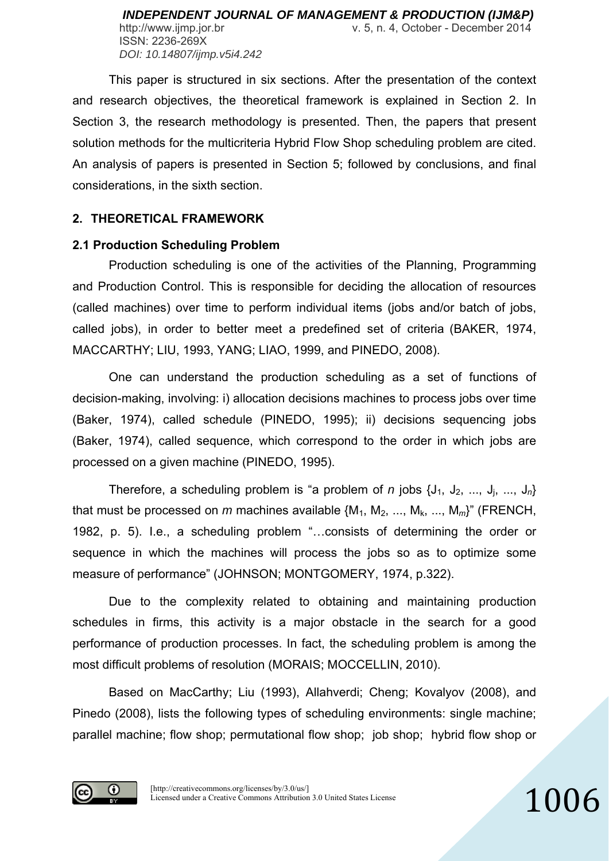This paper is structured in six sections. After the presentation of the context and research objectives, the theoretical framework is explained in Section 2. In Section 3, the research methodology is presented. Then, the papers that present solution methods for the multicriteria Hybrid Flow Shop scheduling problem are cited. An analysis of papers is presented in Section 5; followed by conclusions, and final considerations, in the sixth section.

## **2. THEORETICAL FRAMEWORK**

# **2.1 Production Scheduling Problem**

Production scheduling is one of the activities of the Planning, Programming and Production Control. This is responsible for deciding the allocation of resources (called machines) over time to perform individual items (jobs and/or batch of jobs, called jobs), in order to better meet a predefined set of criteria (BAKER, 1974, MACCARTHY; LIU, 1993, YANG; LIAO, 1999, and PINEDO, 2008).

One can understand the production scheduling as a set of functions of decision-making, involving: i) allocation decisions machines to process jobs over time (Baker, 1974), called schedule (PINEDO, 1995); ii) decisions sequencing jobs (Baker, 1974), called sequence, which correspond to the order in which jobs are processed on a given machine (PINEDO, 1995).

Therefore, a scheduling problem is "a problem of *n* jobs  $\{J_1, J_2, ..., J_i, ..., J_n\}$ that must be processed on *m* machines available  $\{M_1, M_2, ..., M_k, ..., M_m\}$ " (FRENCH, 1982, p. 5). I.e., a scheduling problem "…consists of determining the order or sequence in which the machines will process the jobs so as to optimize some measure of performance" (JOHNSON; MONTGOMERY, 1974, p.322).

 Due to the complexity related to obtaining and maintaining production schedules in firms, this activity is a major obstacle in the search for a good performance of production processes. In fact, the scheduling problem is among the most difficult problems of resolution (MORAIS; MOCCELLIN, 2010).

 Based on MacCarthy; Liu (1993), Allahverdi; Cheng; Kovalyov (2008), and Pinedo (2008), lists the following types of scheduling environments: single machine; parallel machine; flow shop; permutational flow shop; job shop; hybrid flow shop or

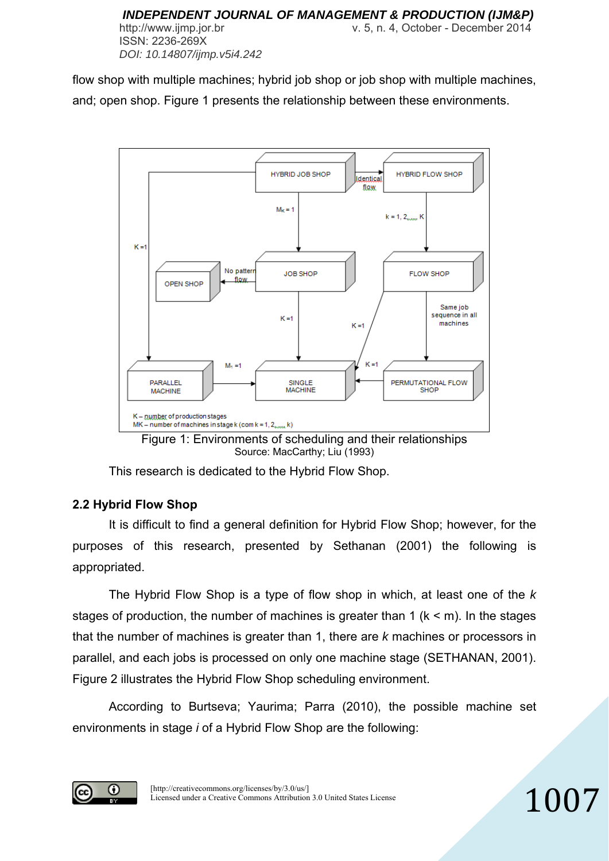flow shop with multiple machines; hybrid job shop or job shop with multiple machines, and; open shop. Figure 1 presents the relationship between these environments.



Source: MacCarthy; Liu (1993)

This research is dedicated to the Hybrid Flow Shop.

## **2.2 Hybrid Flow Shop**

It is difficult to find a general definition for Hybrid Flow Shop; however, for the purposes of this research, presented by Sethanan (2001) the following is appropriated.

 The Hybrid Flow Shop is a type of flow shop in which, at least one of the *k* stages of production, the number of machines is greater than 1 ( $k < m$ ). In the stages that the number of machines is greater than 1, there are *k* machines or processors in parallel, and each jobs is processed on only one machine stage (SETHANAN, 2001). Figure 2 illustrates the Hybrid Flow Shop scheduling environment.

 According to Burtseva; Yaurima; Parra (2010), the possible machine set environments in stage *i* of a Hybrid Flow Shop are the following:

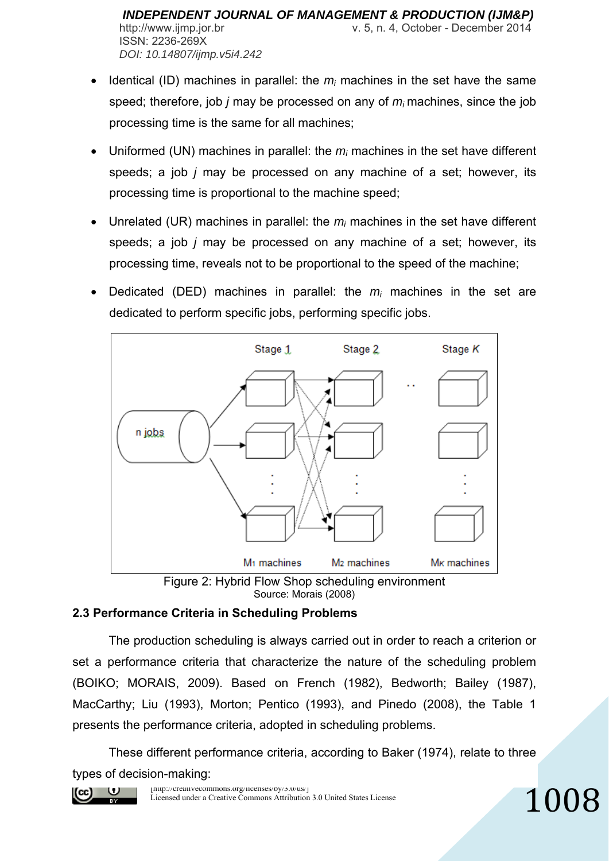- Identical (ID) machines in parallel: the  $m_i$  machines in the set have the same speed; therefore, job *j* may be processed on any of *mi* machines, since the job processing time is the same for all machines;
- Uniformed (UN) machines in parallel: the *mi* machines in the set have different speeds; a job *j* may be processed on any machine of a set; however, its processing time is proportional to the machine speed;
- Unrelated (UR) machines in parallel: the *mi* machines in the set have different speeds; a job *j* may be processed on any machine of a set; however, its processing time, reveals not to be proportional to the speed of the machine;
- Dedicated (DED) machines in parallel: the *mi* machines in the set are dedicated to perform specific jobs, performing specific jobs.





## **2.3 Performance Criteria in Scheduling Problems**

 The production scheduling is always carried out in order to reach a criterion or set a performance criteria that characterize the nature of the scheduling problem (BOIKO; MORAIS, 2009). Based on French (1982), Bedworth; Bailey (1987), MacCarthy; Liu (1993), Morton; Pentico (1993), and Pinedo (2008), the Table 1 presents the performance criteria, adopted in scheduling problems.

 These different performance criteria, according to Baker (1974), relate to three types of decision-making:

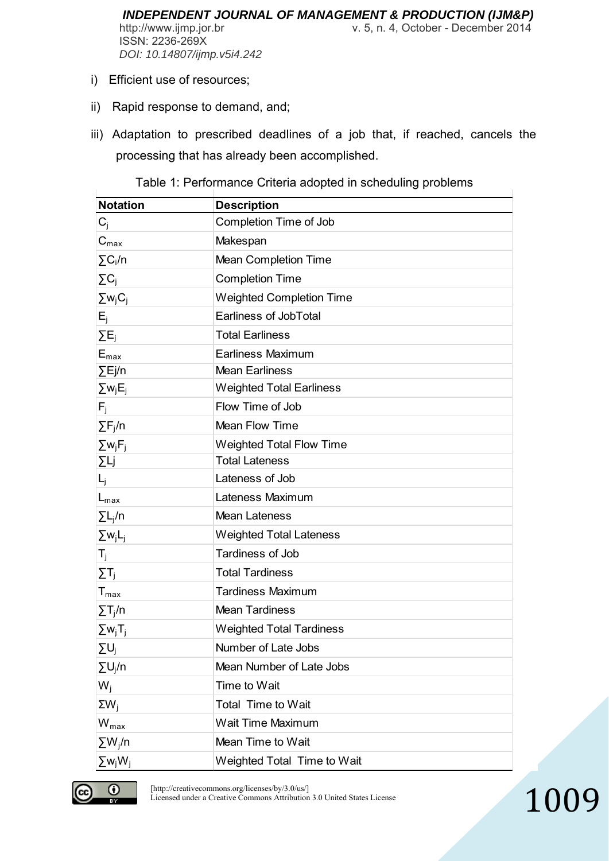*INDEPENDENT JOURNAL OF MANAGEMENT & PRODUCTION (IJM&P)* http://www.ijmp.jor.br v. 5, n. 4, October - December 2014 ISSN: 2236-269X *DOI: 10.14807/ijmp.v5i4.242*

- i) Efficient use of resources;
- ii) Rapid response to demand, and;
- iii) Adaptation to prescribed deadlines of a job that, if reached, cancels the processing that has already been accomplished.

| <b>Notation</b>         | <b>Description</b>              |
|-------------------------|---------------------------------|
| $C_j$                   | Completion Time of Job          |
| $C_{max}$               | Makespan                        |
| $\sum C_i/n$            | Mean Completion Time            |
| $\Sigma C_j$            | <b>Completion Time</b>          |
| $\Sigma w_j C_j$        | <b>Weighted Completion Time</b> |
| $E_{\rm j}$             | Earliness of JobTotal           |
| $\Sigma E_i$            | <b>Total Earliness</b>          |
| $E_{\text{max}}$        | Earliness Maximum               |
| $\Sigma$ Ej/n           | <b>Mean Earliness</b>           |
| $\Sigma w_j E_j$        | <b>Weighted Total Earliness</b> |
| $F_j$                   | Flow Time of Job                |
| $\Sigma F_j/n$          | <b>Mean Flow Time</b>           |
| $\Sigma w_i F_i$        | Weighted Total Flow Time        |
| ΣLj                     | <b>Total Lateness</b>           |
| L <sub>j</sub>          | Lateness of Job                 |
| $L_{\text{max}}$        | Lateness Maximum                |
| $\Sigma L_j/n$          | <b>Mean Lateness</b>            |
| $\Sigma w_j L_j$        | <b>Weighted Total Lateness</b>  |
| $T_{j}$                 | Tardiness of Job                |
| $\Sigma$ T <sub>j</sub> | <b>Total Tardiness</b>          |
| $T_{\text{max}}$        | <b>Tardiness Maximum</b>        |
| $\Sigma T_j/n$          | <b>Mean Tardiness</b>           |
| $\Sigma w_j T_j$        | <b>Weighted Total Tardiness</b> |
| $\Sigma U_i$            | Number of Late Jobs             |
| $\Sigma U_i/n$          | Mean Number of Late Jobs        |
| $W_i$                   | Time to Wait                    |
| $\Sigma W_i$            | Total Time to Wait              |
| $W_{\text{max}}$        | Wait Time Maximum               |
| $\Sigma W_j/n$          | Mean Time to Wait               |
| $\Sigma w_j W_j$        | Weighted Total Time to Wait     |

Table 1: Performance Criteria adopted in scheduling problems



[http://creativecommons.org/licenses/by/3.0/us/] Licensed under a Creative Commons Attribution 3.0 United States License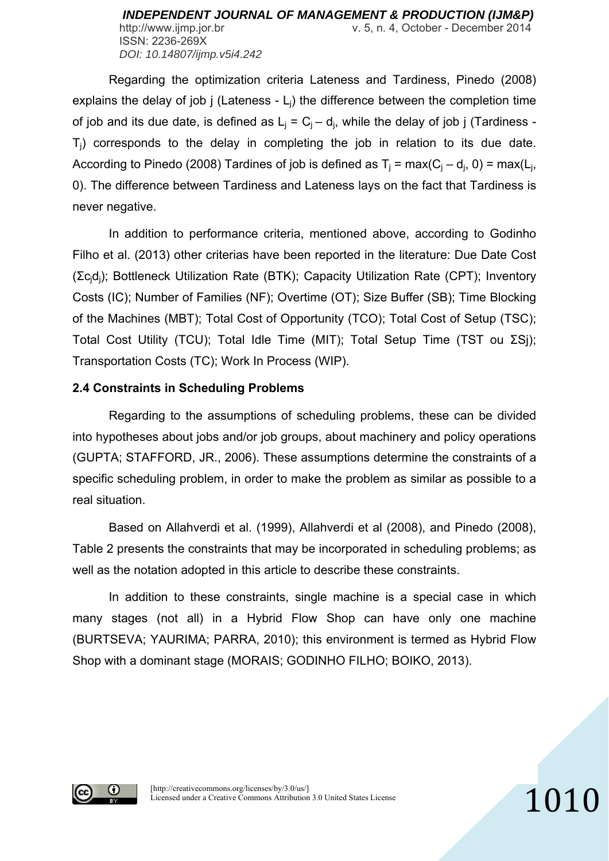Regarding the optimization criteria Lateness and Tardiness, Pinedo (2008) explains the delay of job  $j$  (Lateness -  $L<sub>i</sub>$ ) the difference between the completion time of job and its due date, is defined as  $L_i = C_i - d_i$ , while the delay of job j (Tardiness - $T_i$ ) corresponds to the delay in completing the job in relation to its due date. According to Pinedo (2008) Tardines of job is defined as  $T_i = max(C_i - d_i, 0) = max(L_i, 0)$ 0). The difference between Tardiness and Lateness lays on the fact that Tardiness is never negative.

 In addition to performance criteria, mentioned above, according to Godinho Filho et al. (2013) other criterias have been reported in the literature: Due Date Cost (Σcjdj); Bottleneck Utilization Rate (BTK); Capacity Utilization Rate (CPT); Inventory Costs (IC); Number of Families (NF); Overtime (OT); Size Buffer (SB); Time Blocking of the Machines (MBT); Total Cost of Opportunity (TCO); Total Cost of Setup (TSC); Total Cost Utility (TCU); Total Idle Time (MIT); Total Setup Time (TST ou ΣSj); Transportation Costs (TC); Work In Process (WIP).

## **2.4 Constraints in Scheduling Problems**

 Regarding to the assumptions of scheduling problems, these can be divided into hypotheses about jobs and/or job groups, about machinery and policy operations (GUPTA; STAFFORD, JR., 2006). These assumptions determine the constraints of a specific scheduling problem, in order to make the problem as similar as possible to a real situation.

Based on Allahverdi et al. (1999), Allahverdi et al (2008), and Pinedo (2008), Table 2 presents the constraints that may be incorporated in scheduling problems; as well as the notation adopted in this article to describe these constraints.

In addition to these constraints, single machine is a special case in which many stages (not all) in a Hybrid Flow Shop can have only one machine (BURTSEVA; YAURIMA; PARRA, 2010); this environment is termed as Hybrid Flow Shop with a dominant stage (MORAIS; GODINHO FILHO; BOIKO, 2013).

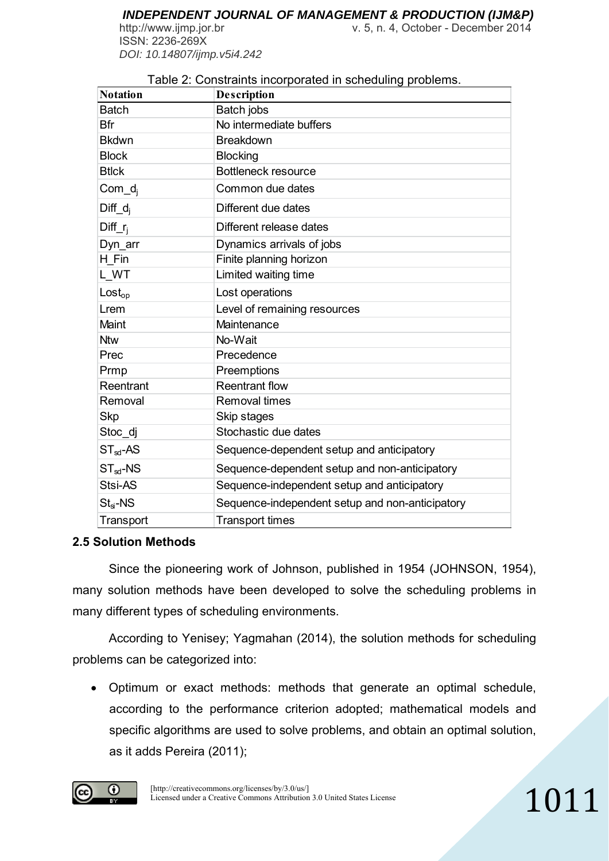http://www.ijmp.jor.br v. 5, n. 4, October - December 2014 ISSN: 2236-269X *DOI: 10.14807/ijmp.v5i4.242*

| <b>Notation</b>      | <b>Description</b>                              |
|----------------------|-------------------------------------------------|
| <b>Batch</b>         | Batch jobs                                      |
| Bfr                  | No intermediate buffers                         |
| <b>Bkdwn</b>         | <b>Breakdown</b>                                |
| <b>Block</b>         | <b>Blocking</b>                                 |
| <b>Btlck</b>         | Bottleneck resource                             |
| $Com_d$              | Common due dates                                |
| $Diff_d$             | Different due dates                             |
| Diff <sub>i</sub>    | Different release dates                         |
| Dyn_arr              | Dynamics arrivals of jobs                       |
| H Fin                | Finite planning horizon                         |
| L WT                 | Limited waiting time                            |
| $\textsf{Lost}_{op}$ | Lost operations                                 |
| Lrem                 | Level of remaining resources                    |
| Maint                | Maintenance                                     |
| <b>Ntw</b>           | No-Wait                                         |
| Prec                 | Precedence                                      |
| Prmp                 | Preemptions                                     |
| Reentrant            | <b>Reentrant flow</b>                           |
| Removal              | <b>Removal times</b>                            |
| <b>Skp</b>           | Skip stages                                     |
| Stoc_dj              | Stochastic due dates                            |
| $ST_{sd}$ -AS        | Sequence-dependent setup and anticipatory       |
| $ST_{sd}$ -NS        | Sequence-dependent setup and non-anticipatory   |
| Stsi-AS              | Sequence-independent setup and anticipatory     |
| $Stsi - NS$          | Sequence-independent setup and non-anticipatory |
| Transport            | <b>Transport times</b>                          |

## Table 2: Constraints incorporated in scheduling problems.

## **2.5 Solution Methods**

 Since the pioneering work of Johnson, published in 1954 (JOHNSON, 1954), many solution methods have been developed to solve the scheduling problems in many different types of scheduling environments.

According to Yenisey; Yagmahan (2014), the solution methods for scheduling problems can be categorized into:

 Optimum or exact methods: methods that generate an optimal schedule, according to the performance criterion adopted; mathematical models and specific algorithms are used to solve problems, and obtain an optimal solution, as it adds Pereira (2011);

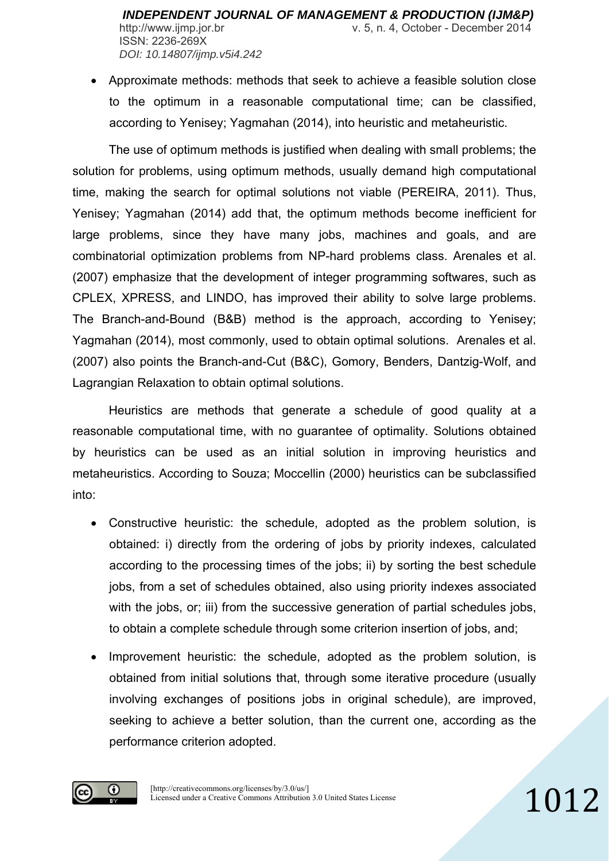Approximate methods: methods that seek to achieve a feasible solution close to the optimum in a reasonable computational time; can be classified, according to Yenisey; Yagmahan (2014), into heuristic and metaheuristic.

 The use of optimum methods is justified when dealing with small problems; the solution for problems, using optimum methods, usually demand high computational time, making the search for optimal solutions not viable (PEREIRA, 2011). Thus, Yenisey; Yagmahan (2014) add that, the optimum methods become inefficient for large problems, since they have many jobs, machines and goals, and are combinatorial optimization problems from NP-hard problems class. Arenales et al. (2007) emphasize that the development of integer programming softwares, such as CPLEX, XPRESS, and LINDO, has improved their ability to solve large problems. The Branch-and-Bound (B&B) method is the approach, according to Yenisey; Yagmahan (2014), most commonly, used to obtain optimal solutions. Arenales et al. (2007) also points the Branch-and-Cut (B&C), Gomory, Benders, Dantzig-Wolf, and Lagrangian Relaxation to obtain optimal solutions.

 Heuristics are methods that generate a schedule of good quality at a reasonable computational time, with no guarantee of optimality. Solutions obtained by heuristics can be used as an initial solution in improving heuristics and metaheuristics. According to Souza; Moccellin (2000) heuristics can be subclassified into:

- Constructive heuristic: the schedule, adopted as the problem solution, is obtained: i) directly from the ordering of jobs by priority indexes, calculated according to the processing times of the jobs; ii) by sorting the best schedule jobs, from a set of schedules obtained, also using priority indexes associated with the jobs, or; iii) from the successive generation of partial schedules jobs, to obtain a complete schedule through some criterion insertion of jobs, and;
- Improvement heuristic: the schedule, adopted as the problem solution, is obtained from initial solutions that, through some iterative procedure (usually involving exchanges of positions jobs in original schedule), are improved, seeking to achieve a better solution, than the current one, according as the performance criterion adopted.

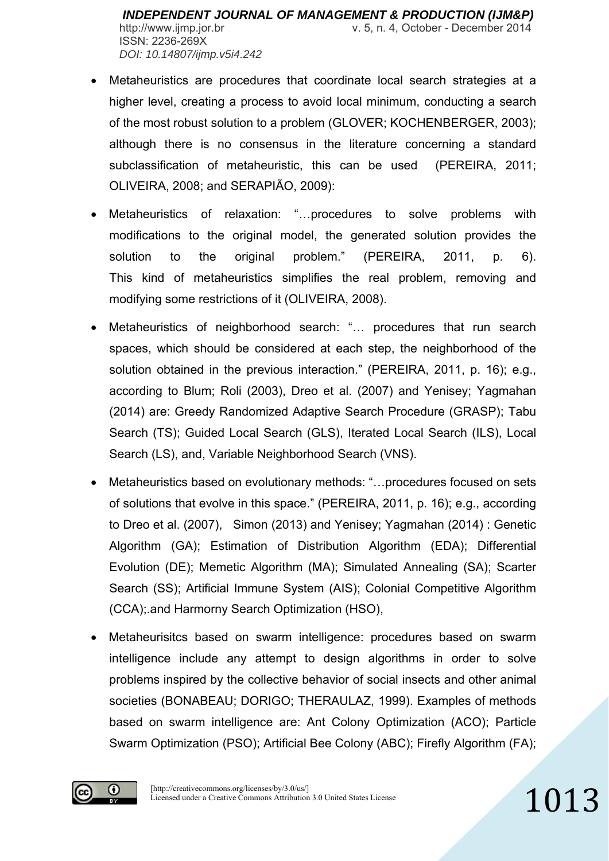- Metaheuristics are procedures that coordinate local search strategies at a higher level, creating a process to avoid local minimum, conducting a search of the most robust solution to a problem (GLOVER; KOCHENBERGER, 2003); although there is no consensus in the literature concerning a standard subclassification of metaheuristic, this can be used (PEREIRA, 2011; OLIVEIRA, 2008; and SERAPIÃO, 2009):
- Metaheuristics of relaxation: "…procedures to solve problems with modifications to the original model, the generated solution provides the solution to the original problem." (PEREIRA, 2011, p. 6). This kind of metaheuristics simplifies the real problem, removing and modifying some restrictions of it (OLIVEIRA, 2008).
- Metaheuristics of neighborhood search: "… procedures that run search spaces, which should be considered at each step, the neighborhood of the solution obtained in the previous interaction." (PEREIRA, 2011, p. 16); e.g., according to Blum; Roli (2003), Dreo et al. (2007) and Yenisey; Yagmahan (2014) are: Greedy Randomized Adaptive Search Procedure (GRASP); Tabu Search (TS); Guided Local Search (GLS), Iterated Local Search (ILS), Local Search (LS), and, Variable Neighborhood Search (VNS).
- Metaheuristics based on evolutionary methods: "…procedures focused on sets of solutions that evolve in this space." (PEREIRA, 2011, p. 16); e.g., according to Dreo et al. (2007), Simon (2013) and Yenisey; Yagmahan (2014) : Genetic Algorithm (GA); Estimation of Distribution Algorithm (EDA); Differential Evolution (DE); Memetic Algorithm (MA); Simulated Annealing (SA); Scarter Search (SS); Artificial Immune System (AIS); Colonial Competitive Algorithm (CCA);.and Harmorny Search Optimization (HSO),
- Metaheurisitcs based on swarm intelligence: procedures based on swarm intelligence include any attempt to design algorithms in order to solve problems inspired by the collective behavior of social insects and other animal societies (BONABEAU; DORIGO; THERAULAZ, 1999). Examples of methods based on swarm intelligence are: Ant Colony Optimization (ACO); Particle Swarm Optimization (PSO); Artificial Bee Colony (ABC); Firefly Algorithm (FA);

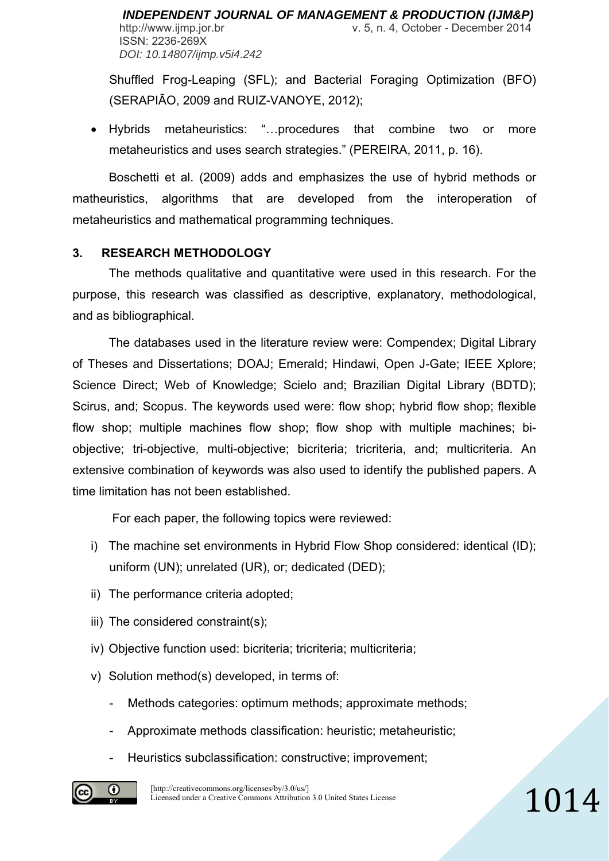Shuffled Frog-Leaping (SFL); and Bacterial Foraging Optimization (BFO) (SERAPIÃO, 2009 and RUIZ-VANOYE, 2012);

 Hybrids metaheuristics: "…procedures that combine two or more metaheuristics and uses search strategies." (PEREIRA, 2011, p. 16).

 Boschetti et al. (2009) adds and emphasizes the use of hybrid methods or matheuristics, algorithms that are developed from the interoperation of metaheuristics and mathematical programming techniques.

# **3. RESEARCH METHODOLOGY**

 The methods qualitative and quantitative were used in this research. For the purpose, this research was classified as descriptive, explanatory, methodological, and as bibliographical.

 The databases used in the literature review were: Compendex; Digital Library of Theses and Dissertations; DOAJ; Emerald; Hindawi, Open J-Gate; IEEE Xplore; Science Direct; Web of Knowledge; Scielo and; Brazilian Digital Library (BDTD); Scirus, and; Scopus. The keywords used were: flow shop; hybrid flow shop; flexible flow shop; multiple machines flow shop; flow shop with multiple machines; biobjective; tri-objective, multi-objective; bicriteria; tricriteria, and; multicriteria. An extensive combination of keywords was also used to identify the published papers. A time limitation has not been established.

For each paper, the following topics were reviewed:

- i) The machine set environments in Hybrid Flow Shop considered: identical (ID); uniform (UN); unrelated (UR), or; dedicated (DED);
- ii) The performance criteria adopted;
- iii) The considered constraint(s);
- iv) Objective function used: bicriteria; tricriteria; multicriteria;
- v) Solution method(s) developed, in terms of:
	- Methods categories: optimum methods; approximate methods;
	- Approximate methods classification: heuristic; metaheuristic;
	- Heuristics subclassification: constructive; improvement;

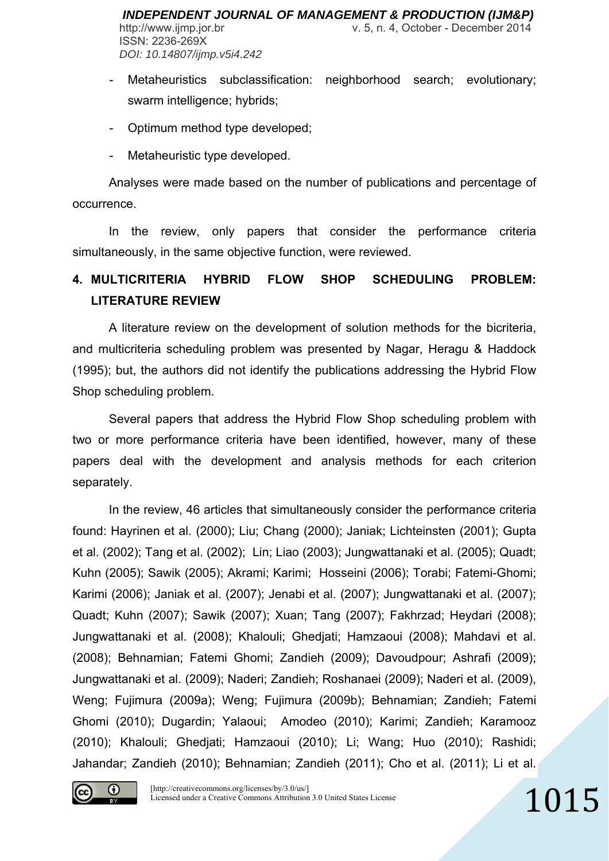- Metaheuristics subclassification: neighborhood search; evolutionary; swarm intelligence; hybrids;
- Optimum method type developed;
- Metaheuristic type developed.

 Analyses were made based on the number of publications and percentage of occurrence.

In the review, only papers that consider the performance criteria simultaneously, in the same objective function, were reviewed.

# **4. MULTICRITERIA HYBRID FLOW SHOP SCHEDULING PROBLEM: LITERATURE REVIEW**

A literature review on the development of solution methods for the bicriteria, and multicriteria scheduling problem was presented by Nagar, Heragu & Haddock (1995); but, the authors did not identify the publications addressing the Hybrid Flow Shop scheduling problem.

Several papers that address the Hybrid Flow Shop scheduling problem with two or more performance criteria have been identified, however, many of these papers deal with the development and analysis methods for each criterion separately.

 In the review, 46 articles that simultaneously consider the performance criteria found: Hayrinen et al. (2000); Liu; Chang (2000); Janiak; Lichteinsten (2001); Gupta et al. (2002); Tang et al. (2002); Lin; Liao (2003); Jungwattanaki et al. (2005); Quadt; Kuhn (2005); Sawik (2005); Akrami; Karimi; Hosseini (2006); Torabi; Fatemi-Ghomi; Karimi (2006); Janiak et al. (2007); Jenabi et al. (2007); Jungwattanaki et al. (2007); Quadt; Kuhn (2007); Sawik (2007); Xuan; Tang (2007); Fakhrzad; Heydari (2008); Jungwattanaki et al. (2008); Khalouli; Ghedjati; Hamzaoui (2008); Mahdavi et al. (2008); Behnamian; Fatemi Ghomi; Zandieh (2009); Davoudpour; Ashrafi (2009); Jungwattanaki et al. (2009); Naderi; Zandieh; Roshanaei (2009); Naderi et al. (2009), Weng; Fujimura (2009a); Weng; Fujimura (2009b); Behnamian; Zandieh; Fatemi Ghomi (2010); Dugardin; Yalaoui; Amodeo (2010); Karimi; Zandieh; Karamooz (2010); Khalouli; Ghedjati; Hamzaoui (2010); Li; Wang; Huo (2010); Rashidi; Jahandar; Zandieh (2010); Behnamian; Zandieh (2011); Cho et al. (2011); Li et al.

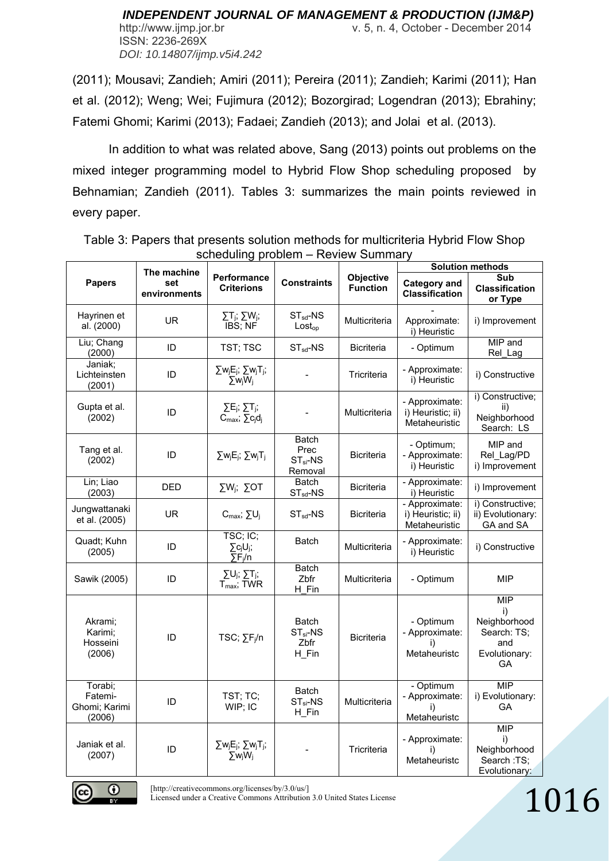http://www.ijmp.jor.br v. 5, n. 4, October - December 2014

ISSN: 2236-269X *DOI: 10.14807/ijmp.v5i4.242*

(2011); Mousavi; Zandieh; Amiri (2011); Pereira (2011); Zandieh; Karimi (2011); Han et al. (2012); Weng; Wei; Fujimura (2012); Bozorgirad; Logendran (2013); Ebrahiny; Fatemi Ghomi; Karimi (2013); Fadaei; Zandieh (2013); and Jolai et al. (2013).

In addition to what was related above, Sang (2013) points out problems on the mixed integer programming model to Hybrid Flow Shop scheduling proposed by Behnamian; Zandieh (2011). Tables 3: summarizes the main points reviewed in every paper.

|                                               | The machine         | <b>JUILUUIIIIIII PIUDICIII</b>                                     |                                                | <b>INVICW OUTHING</b>        | <b>Solution methods</b>                              |                                                                               |  |
|-----------------------------------------------|---------------------|--------------------------------------------------------------------|------------------------------------------------|------------------------------|------------------------------------------------------|-------------------------------------------------------------------------------|--|
| <b>Papers</b>                                 | set<br>environments | Performance<br><b>Criterions</b>                                   | <b>Constraints</b>                             | Objective<br><b>Function</b> | <b>Category and</b><br><b>Classification</b>         | Sub<br><b>Classification</b><br>or Type                                       |  |
| Hayrinen et<br>al. (2000)                     | <b>UR</b>           | $\Sigma T_j$ ; $\Sigma W_j$ ;<br>IBS; NF                           | $ST_{sd}$ -NS<br>Loss <sub>op</sub>            | Multicriteria                | Approximate:<br>i) Heuristic                         | i) Improvement                                                                |  |
| Liu; Chang<br>(2000)                          | ID                  | TST; TSC                                                           | $ST_{sd}$ -NS                                  | <b>Bicriteria</b>            | - Optimum                                            | MIP and<br>Rel_Lag                                                            |  |
| Janiak;<br>Lichteinsten<br>(2001)             | ID                  | $\Sigma w_j E_j$ ; $\Sigma w_j T_j$ ;<br>$\Sigma w_j W_j$          |                                                | Tricriteria                  | - Approximate:<br>i) Heuristic                       | i) Constructive                                                               |  |
| Gupta et al.<br>(2002)                        | ID                  | $\Sigma E_j$ ; $\Sigma T_j$ ;<br>$C_{\text{max}}$ ; $\sum c_i d_i$ |                                                | Multicriteria                | - Approximate:<br>i) Heuristic; ii)<br>Metaheuristic | i) Constructive;<br>ii)<br>Neighborhood<br>Search: LS                         |  |
| Tang et al.<br>(2002)                         | ID                  | $\Sigma w_j E_j$ ; $\Sigma w_j T_j$                                | Batch<br>Prec<br>$ST_{si}$ -NS<br>Removal      | <b>Bicriteria</b>            | - Optimum;<br>- Approximate:<br>i) Heuristic         | MIP and<br>Rel Lag/PD<br>i) Improvement                                       |  |
| Lin; Liao<br>(2003)                           | <b>DED</b>          | $\Sigma W_i$ ; $\Sigma$ OT                                         | <b>Batch</b><br>$ST_{sd}$ -NS                  | <b>Bicriteria</b>            | - Approximate:<br>i) Heuristic                       | i) Improvement                                                                |  |
| Jungwattanaki<br>et al. (2005)                | <b>UR</b>           | $C_{max}$ ; $\Sigma U_j$                                           | $ST_{sd}$ -NS                                  | <b>Bicriteria</b>            | - Approximate:<br>i) Heuristic; ii)<br>Metaheuristic | i) Constructive;<br>ii) Evolutionary:<br>GA and SA                            |  |
| Quadt: Kuhn<br>(2005)                         | ID                  | TSC; IC;<br>$\sum c_i U_i$ ;<br>$\Sigma \hat{F}_i/n$               | <b>Batch</b>                                   | Multicriteria                | - Approximate:<br>i) Heuristic                       | i) Constructive                                                               |  |
| Sawik (2005)                                  | ID                  | $\Sigma U_j$ ; $\Sigma T_j$ ;<br>$T_{\text{max}}$ ; TWR            | <b>Batch</b><br>Zbfr<br>H Fin                  | Multicriteria                | - Optimum                                            | <b>MIP</b>                                                                    |  |
| Akrami;<br>Karimi;<br>Hosseini<br>(2006)      | ID                  | TSC; $\Sigma F_i/n$                                                | <b>Batch</b><br>$ST_{si}$ -NS<br>Zbfr<br>H Fin | Bicriteria                   | - Optimum<br>- Approximate:<br>i)<br>Metaheuristc    | <b>MIP</b><br>i)<br>Neighborhood<br>Search: TS;<br>and<br>Evolutionary:<br>GA |  |
| Torabi;<br>Fatemi-<br>Ghomi; Karimi<br>(2006) | ID                  | TST; TC;<br>WIP; IC                                                | <b>Batch</b><br>$ST_{si}$ -NS<br>$H_F$ in      | Multicriteria                | - Optimum<br>- Approximate:<br>i)<br>Metaheuristc    | <b>MIP</b><br>i) Evolutionary:<br>GA                                          |  |
| Janiak et al.<br>(2007)                       | ID                  | $\Sigma w_j E_j$ ; $\Sigma w_j T_j$ ;<br>$\Sigma w_i W_i$          |                                                | Tricriteria                  | - Approximate:<br>i)<br>Metaheuristc                 | <b>MIP</b><br>i)<br>Neighborhood<br>Search :TS;<br>Evolutionary:              |  |

Table 3: Papers that presents solution methods for multicriteria Hybrid Flow Shop scheduling problem – Review Summary



[http://creativecommons.org/licenses/by/3.0/us/]

Licensed under a Creative Commons Attribution 3.0 United States License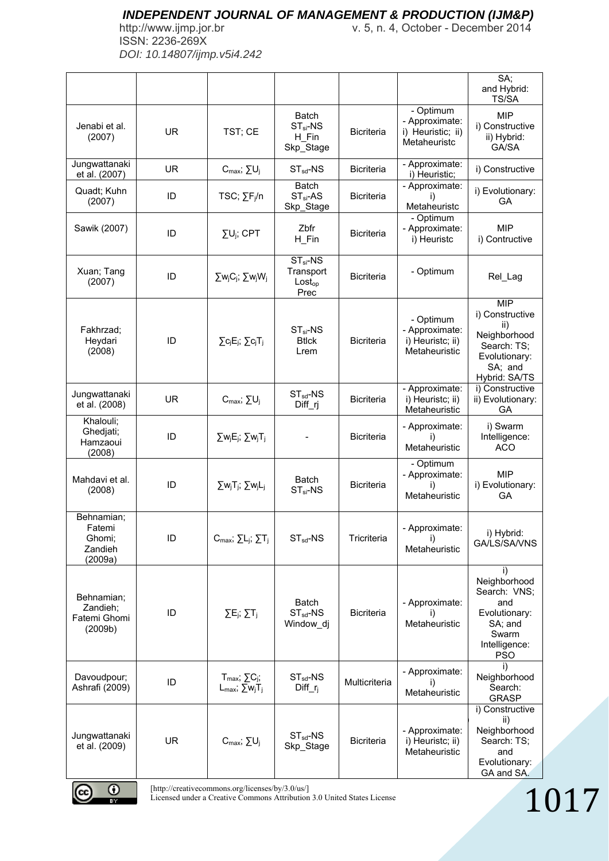ISSN: 2236-269X *DOI: 10.14807/ijmp.v5i4.242*

http://www.ijmp.jor.br v. 5, n. 4, October - December 2014

|                                                      |           |                                                                                                                             |                                                          |                   |                                                                  | SA;                                                                                                              |      |
|------------------------------------------------------|-----------|-----------------------------------------------------------------------------------------------------------------------------|----------------------------------------------------------|-------------------|------------------------------------------------------------------|------------------------------------------------------------------------------------------------------------------|------|
|                                                      |           |                                                                                                                             |                                                          |                   |                                                                  | and Hybrid:<br>TS/SA                                                                                             |      |
| Jenabi et al.<br>(2007)                              | <b>UR</b> | TST; CE                                                                                                                     | <b>Batch</b><br>$ST_{si}$ -NS<br>H Fin<br>Skp_Stage      | <b>Bicriteria</b> | - Optimum<br>- Approximate:<br>i) Heuristic; ii)<br>Metaheuristc | <b>MIP</b><br>i) Constructive<br>ii) Hybrid:<br>GA/SA                                                            |      |
| Jungwattanaki<br>et al. (2007)                       | <b>UR</b> | $C_{max}$ ; $\Sigma U_j$                                                                                                    | $ST_{sd}$ -NS                                            | <b>Bicriteria</b> | - Approximate:<br>i) Heuristic;                                  | i) Constructive                                                                                                  |      |
| Quadt; Kuhn<br>(2007)                                | ID        | TSC; $\Sigma F_i/n$                                                                                                         | <b>Batch</b><br>$ST_{si}$ -AS<br>Skp_Stage               | <b>Bicriteria</b> | - Approximate:<br>Metaheuristc                                   | i) Evolutionary:<br>GA                                                                                           |      |
| Sawik (2007)                                         | ID        | $\Sigma U_i$ ; CPT                                                                                                          | Zbfr<br>$H_F$ in                                         | <b>Bicriteria</b> | - Optimum<br>- Approximate:<br>i) Heuristc                       | <b>MIP</b><br>i) Contructive                                                                                     |      |
| Xuan; Tang<br>(2007)                                 | ID        | $\Sigma w_j C_j$ ; $\Sigma w_j W_j$                                                                                         | $ST_{si}$ -NS<br>Transport<br>Loss <sub>op</sub><br>Prec | <b>Bicriteria</b> | - Optimum                                                        | Rel_Lag                                                                                                          |      |
| Fakhrzad;<br>Heydari<br>(2008)                       | ID        | $\Sigma$ c <sub>j</sub> E <sub>j</sub> ; $\Sigma$ c <sub>j</sub> T <sub>j</sub>                                             | $ST_{si}$ -NS<br><b>Btlck</b><br>Lrem                    | <b>Bicriteria</b> | - Optimum<br>- Approximate:<br>i) Heuristc; ii)<br>Metaheuristic | <b>MIP</b><br>i) Constructive<br>ii)<br>Neighborhood<br>Search: TS;<br>Evolutionary:<br>SA; and<br>Hybrid: SA/TS |      |
| Jungwattanaki<br>et al. (2008)                       | <b>UR</b> | $C_{\text{max}}$ ; $\Sigma U_i$                                                                                             | $ST_{sd}$ -NS<br>Diff_rj                                 | <b>Bicriteria</b> | - Approximate:<br>i) Heuristc; ii)<br>Metaheuristic              | i) Constructive<br>ii) Evolutionary:<br>GA                                                                       |      |
| Khalouli;<br>Ghedjati;<br>Hamzaoui<br>(2008)         | ID        | $\Sigma w_j E_j$ ; $\Sigma w_j T_j$                                                                                         |                                                          | <b>Bicriteria</b> | - Approximate:<br>i)<br>Metaheuristic                            | i) Swarm<br>Intelligence:<br><b>ACO</b>                                                                          |      |
| Mahdavi et al.<br>(2008)                             | ID        | $\Sigma w_j T_j$ ; $\Sigma w_j L_j$                                                                                         | <b>Batch</b><br>$ST_{si}$ -NS                            | Bicriteria        | - Optimum<br>- Approximate:<br>i)<br>Metaheuristic               | <b>MIP</b><br>i) Evolutionary:<br>GA                                                                             |      |
| Behnamian;<br>Fatemi<br>Ghomi;<br>Zandieh<br>(2009a) | ID        | $C_{\text{max}}$ ; $\Sigma L_i$ ; $\Sigma T_i$                                                                              | $ST_{sd}$ -NS                                            | Tricriteria       | - Approximate:<br>i)<br>Metaheuristic                            | i) Hybrid:<br>GA/LS/SA/VNS                                                                                       |      |
| Behnamian;<br>Zandieh;<br>Fatemi Ghomi<br>(2009b)    | ID        | $\Sigma E_j$ ; $\Sigma T_j$                                                                                                 | <b>Batch</b><br>$ST_{sd}$ -NS<br>Window_dj               | Bicriteria        | - Approximate:<br>I)<br>Metaheuristic                            | i)<br>Neighborhood<br>Search: VNS;<br>and<br>Evolutionary:<br>SA; and<br>Swarm<br>Intelligence:<br><b>PSO</b>    |      |
| Davoudpour;<br>Ashrafi (2009)                        | ID        | $T_{\text{max}}$ ; $\Sigma C_j$ ;<br>$L_{\text{max}}$ ; $\Sigma w_j T_j$                                                    | $ST_{sd}$ -NS<br>$Diff_r$                                | Multicriteria     | - Approximate:<br>Metaheuristic                                  | i)<br>Neighborhood<br>Search:<br><b>GRASP</b>                                                                    |      |
| Jungwattanaki<br>et al. (2009)                       | <b>UR</b> | $C_{max}$ ; $\Sigma U_j$                                                                                                    | $ST_{sd}$ -NS<br>Skp_Stage                               | <b>Bicriteria</b> | - Approximate:<br>i) Heuristc; ii)<br>Metaheuristic              | i) Constructive<br>ii)<br>Neighborhood<br>Search: TS;<br>and<br>Evolutionary:<br>GA and SA.                      |      |
| O<br>BY.                                             |           | [http://creativecommons.org/licenses/by/3.0/us/]<br>Licensed under a Creative Commons Attribution 3.0 United States License |                                                          |                   |                                                                  |                                                                                                                  | 1017 |

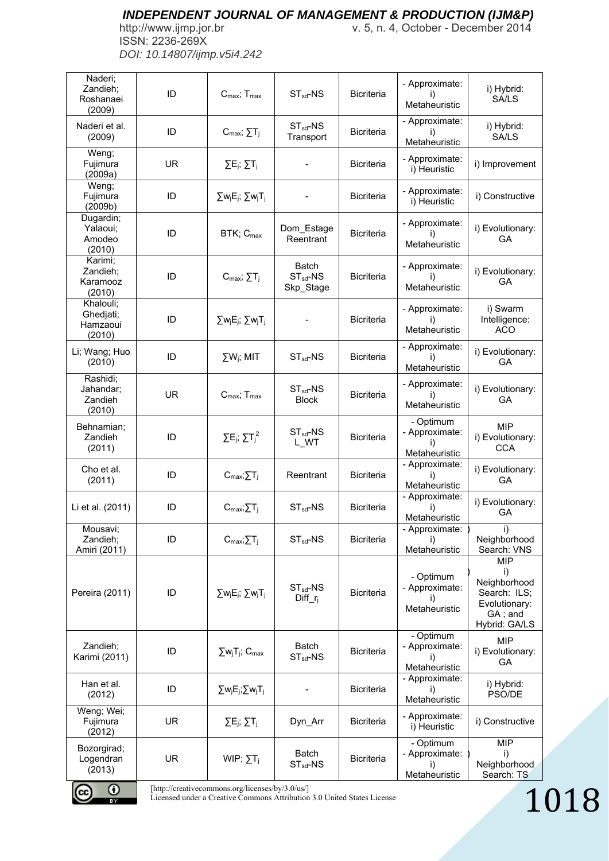ISSN: 2236-269X *DOI: 10.14807/ijmp.v5i4.242*

http://www.ijmp.jor.br v. 5, n. 4, October - December 2014

| Naderi;<br>Zandieh;<br>Roshanaei<br>(2009)   | ID        | $C_{\text{max}}$ ; $T_{\text{max}}$                                                                                         | $ST_{sd}$ -NS                              | <b>Bicriteria</b> | - Approximate:<br>i)<br>Metaheuristic              | i) Hybrid:<br><b>SA/LS</b>                                                                    |      |
|----------------------------------------------|-----------|-----------------------------------------------------------------------------------------------------------------------------|--------------------------------------------|-------------------|----------------------------------------------------|-----------------------------------------------------------------------------------------------|------|
| Naderi et al.<br>(2009)                      | ID        | $C_{\text{max}}$ ; $\Sigma T_i$                                                                                             | $ST_{sd}$ -NS<br>Transport                 | <b>Bicriteria</b> | - Approximate:<br>Ð<br>Metaheuristic               | i) Hybrid:<br>SA/LS                                                                           |      |
| Weng;<br>Fujimura<br>(2009a)                 | UR.       | $\Sigma E_j$ ; $\Sigma T_j$                                                                                                 |                                            | <b>Bicriteria</b> | - Approximate:<br>i) Heuristic                     | i) Improvement                                                                                |      |
| Weng;<br>Fujimura<br>(2009b)                 | ID        | $\Sigma w_j E_j$ ; $\Sigma w_j T_j$                                                                                         |                                            | <b>Bicriteria</b> | - Approximate:<br>i) Heuristic                     | i) Constructive                                                                               |      |
| Dugardin;<br>Yalaoui;<br>Amodeo<br>(2010)    | ID        | BTK; C <sub>max</sub>                                                                                                       | Dom_Estage<br>Reentrant                    | <b>Bicriteria</b> | - Approximate:<br>Metaheuristic                    | i) Evolutionary:<br>GA                                                                        |      |
| Karimi;<br>Zandieh;<br>Karamooz<br>(2010)    | ID        | $C_{\text{max}}$ ; $\Sigma T_i$                                                                                             | <b>Batch</b><br>$ST_{sd}$ -NS<br>Skp_Stage | <b>Bicriteria</b> | - Approximate:<br>Metaheuristic                    | i) Evolutionary:<br>GA                                                                        |      |
| Khalouli;<br>Ghedjati;<br>Hamzaoui<br>(2010) | ID        | $\Sigma w_j E_j$ ; $\Sigma w_j T_j$                                                                                         |                                            | <b>Bicriteria</b> | - Approximate:<br>I)<br>Metaheuristic              | i) Swarm<br>Intelligence:<br>ACO                                                              |      |
| Li; Wang; Huo<br>(2010)                      | ID        | $\Sigma W_i$ ; MIT                                                                                                          | $ST_{sd}$ -NS                              | <b>Bicriteria</b> | - Approximate:<br>i)<br>Metaheuristic              | i) Evolutionary:<br>GA                                                                        |      |
| Rashidi;<br>Jahandar;<br>Zandieh<br>(2010)   | <b>UR</b> | $C_{\text{max}}$ ; $T_{\text{max}}$                                                                                         | $ST_{sd}$ -NS<br><b>Block</b>              | <b>Bicriteria</b> | - Approximate:<br>i)<br>Metaheuristic              | i) Evolutionary:<br><b>GA</b>                                                                 |      |
| Behnamian;<br>Zandieh<br>(2011)              | ID        | $\Sigma E_j$ ; $\Sigma T_j^2$                                                                                               | $ST_{sd}$ -NS<br>L_WT                      | <b>Bicriteria</b> | - Optimum<br>- Approximate:<br>Metaheuristic       | <b>MIP</b><br>i) Evolutionary:<br><b>CCA</b>                                                  |      |
| Cho et al.<br>(2011)                         | ID        | $C_{\text{max}}$ ; $\Sigma T_j$                                                                                             | Reentrant                                  | <b>Bicriteria</b> | - Approximate:<br>i)<br>Metaheuristic              | i) Evolutionary:<br>GA                                                                        |      |
| Li et al. (2011)                             | ID        | $C_{max}; \sum T_j$                                                                                                         | $ST_{sd}$ -NS                              | Bicriteria        | - Approximate:<br>i)<br>Metaheuristic              | i) Evolutionary:<br>GA                                                                        |      |
| Mousavi;<br>Zandieh;<br>Amiri (2011)         | ID        | $C_{\text{max}}$ ; $\Sigma T_j$                                                                                             | $ST_{sd}$ -NS                              | <b>Bicriteria</b> | - Approximate:<br>I)<br>Metaheuristic              | i)<br>Neighborhood<br>Search: VNS                                                             |      |
| Pereira (2011)                               | ID        | $\Sigma w_j E_j$ ; $\Sigma w_j T_j$                                                                                         | $ST_{sd}$ -NS<br>$Diff_r$                  | <b>Bicriteria</b> | - Optimum<br>- Approximate:<br>Ð<br>Metaheuristic  | <b>MIP</b><br>i)<br>Neighborhood<br>Search: ILS;<br>Evolutionary:<br>GA; and<br>Hybrid: GA/LS |      |
| Zandieh;<br>Karimi (2011)                    | ID        | $\Sigma w_j T_j$ ; $C_{\text{max}}$                                                                                         | <b>Batch</b><br>$ST_{sd}$ -NS              | <b>Bicriteria</b> | - Optimum<br>- Approximate:<br>Metaheuristic       | <b>MIP</b><br>i) Evolutionary:<br>GA                                                          |      |
| Han et al.<br>(2012)                         | ID        | $\Sigma w_j E_j$ ; $\Sigma w_j T_j$                                                                                         |                                            | <b>Bicriteria</b> | - Approximate:<br>i)<br>Metaheuristic              | i) Hybrid:<br>PSO/DE                                                                          |      |
| Weng; Wei;<br>Fujimura<br>(2012)             | <b>UR</b> | $\Sigma E_j$ ; $\Sigma T_j$                                                                                                 | Dyn_Arr                                    | <b>Bicriteria</b> | - Approximate:<br>i) Heuristic                     | i) Constructive                                                                               |      |
| Bozorgirad;<br>Logendran<br>(2013)           | UR.       | WIP; $\Sigma T_i$                                                                                                           | <b>Batch</b><br>$ST_{sd}$ -NS              | <b>Bicriteria</b> | - Optimum<br>- Approximate:<br>I)<br>Metaheuristic | MIP<br>i)<br>Neighborhood<br>Search: TS                                                       |      |
| O<br>BY.                                     |           | [http://creativecommons.org/licenses/by/3.0/us/]<br>Licensed under a Creative Commons Attribution 3.0 United States License |                                            |                   |                                                    |                                                                                               | 1018 |

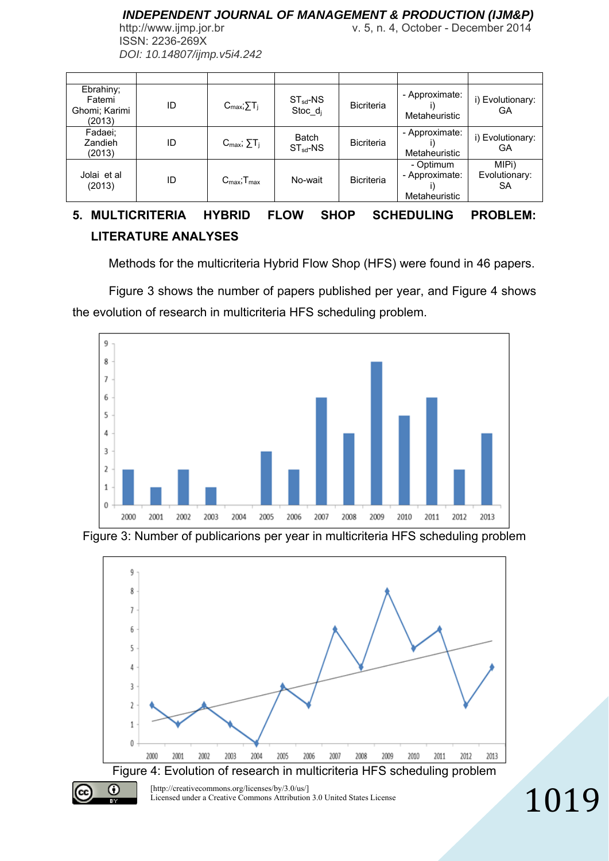http://www.ijmp.jor.br v. 5, n. 4, October - December 2014 ISSN: 2236-269X *DOI: 10.14807/ijmp.v5i4.242*

| Ebrahiny;<br>Fatemi<br>Ghomi; Karimi<br>(2013) | ID | $C_{\text{max}}$ ; $\Sigma T_i$     | $ST_{sd}$ -NS<br>Stoc $d_i$ | <b>Bicriteria</b> | - Approximate:<br>Metaheuristic              | i) Evolutionary:<br>GA       |
|------------------------------------------------|----|-------------------------------------|-----------------------------|-------------------|----------------------------------------------|------------------------------|
| Fadaei;<br>Zandieh<br>(2013)                   | ID | $C_{\text{max}}$ ; $\Sigma T_i$     | Batch<br>$ST_{sd}$ -NS      | <b>Bicriteria</b> | - Approximate:<br>Metaheuristic              | i) Evolutionary:<br>GА       |
| Jolai et al<br>(2013)                          | ID | $C_{\text{max}}$ ; $T_{\text{max}}$ | No-wait                     | <b>Bicriteria</b> | - Optimum<br>- Approximate:<br>Metaheuristic | MIPi)<br>Evolutionary:<br>SA |

# **5. MULTICRITERIA HYBRID FLOW SHOP SCHEDULING PROBLEM: LITERATURE ANALYSES**

Methods for the multicriteria Hybrid Flow Shop (HFS) were found in 46 papers.

Figure 3 shows the number of papers published per year, and Figure 4 shows the evolution of research in multicriteria HFS scheduling problem.



Figure 3: Number of publicarions per year in multicriteria HFS scheduling problem

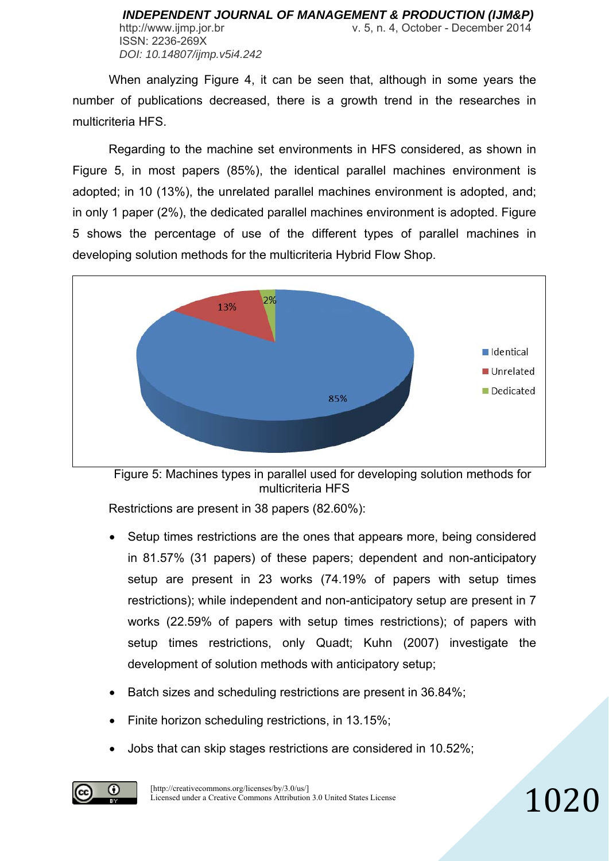When analyzing Figure 4, it can be seen that, although in some years the number of publications decreased, there is a growth trend in the researches in multicriteria HFS.

Regarding to the machine set environments in HFS considered, as shown in Figure 5, in most papers (85%), the identical parallel machines environment is adopted; in 10 (13%), the unrelated parallel machines environment is adopted, and; in only 1 paper (2%), the dedicated parallel machines environment is adopted. Figure 5 shows the percentage of use of the different types of parallel machines in developing solution methods for the multicriteria Hybrid Flow Shop.



Figure 5: Machines types in parallel used for developing solution methods for multicriteria HFS

Restrictions are present in 38 papers (82.60%):

 Setup times restrictions are the ones that appears more, being considered in 81.57% (31 papers) of these papers; dependent and non-anticipatory setup are present in 23 works (74.19% of papers with setup times restrictions); while independent and non-anticipatory setup are present in 7 works (22.59% of papers with setup times restrictions); of papers with setup times restrictions, only Quadt; Kuhn (2007) investigate the development of solution methods with anticipatory setup;

- Batch sizes and scheduling restrictions are present in 36.84%;
- Finite horizon scheduling restrictions, in 13.15%;
- Jobs that can skip stages restrictions are considered in 10.52%;

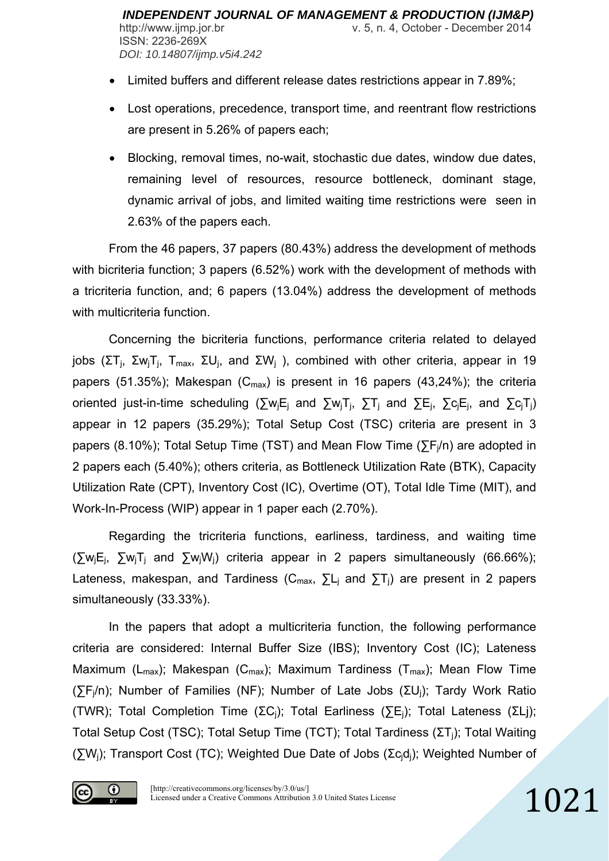- Limited buffers and different release dates restrictions appear in 7.89%;
- Lost operations, precedence, transport time, and reentrant flow restrictions are present in 5.26% of papers each;
- Blocking, removal times, no-wait, stochastic due dates, window due dates, remaining level of resources, resource bottleneck, dominant stage, dynamic arrival of jobs, and limited waiting time restrictions were seen in 2.63% of the papers each.

From the 46 papers, 37 papers (80.43%) address the development of methods with bicriteria function; 3 papers (6.52%) work with the development of methods with a tricriteria function, and; 6 papers (13.04%) address the development of methods with multicriteria function.

Concerning the bicriteria functions, performance criteria related to delayed jobs (ΣT<sub>i</sub>, Σw<sub>i</sub>T<sub>i</sub>, T<sub>max</sub>, ΣU<sub>i</sub>, and ΣW<sub>i</sub>), combined with other criteria, appear in 19 papers (51.35%); Makespan ( $C_{\text{max}}$ ) is present in 16 papers (43,24%); the criteria oriented just-in-time scheduling ( $\sum w_i E_i$  and  $\sum w_i T_i$ ,  $\sum T_i$  and  $\sum E_i$ ,  $\sum c_i E_i$ , and  $\sum c_i T_i$ ) appear in 12 papers (35.29%); Total Setup Cost (TSC) criteria are present in 3 papers (8.10%); Total Setup Time (TST) and Mean Flow Time ( $\sum F_i/n$ ) are adopted in 2 papers each (5.40%); others criteria, as Bottleneck Utilization Rate (BTK), Capacity Utilization Rate (CPT), Inventory Cost (IC), Overtime (OT), Total Idle Time (MIT), and Work-In-Process (WIP) appear in 1 paper each (2.70%).

Regarding the tricriteria functions, earliness, tardiness, and waiting time (∑wjEj, ∑wjTj and ∑wjWj) criteria appear in 2 papers simultaneously (66.66%); Lateness, makespan, and Tardiness ( $C_{\text{max}}$ ,  $\Sigma L_i$  and  $\Sigma T_i$ ) are present in 2 papers simultaneously (33.33%).

In the papers that adopt a multicriteria function, the following performance criteria are considered: Internal Buffer Size (IBS); Inventory Cost (IC); Lateness Maximum ( $L_{max}$ ); Makespan ( $C_{max}$ ); Maximum Tardiness ( $T_{max}$ ); Mean Flow Time (∑Fj/n); Number of Families (NF); Number of Late Jobs (ΣUj); Tardy Work Ratio (TWR); Total Completion Time (ΣCj); Total Earliness (∑Ej); Total Lateness (ΣLj); Total Setup Cost (TSC); Total Setup Time (TCT); Total Tardiness (ΣT<sub>i</sub>); Total Waiting (∑Wj); Transport Cost (TC); Weighted Due Date of Jobs (Σcjdj); Weighted Number of

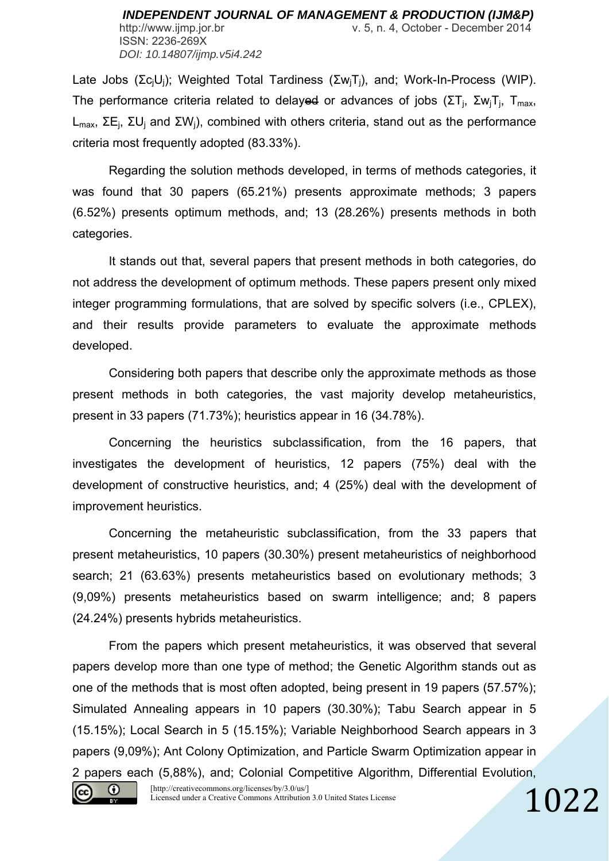Late Jobs (Σc<sub>i</sub>U<sub>i</sub>); Weighted Total Tardiness (Σw<sub>i</sub>T<sub>i</sub>), and; Work-In-Process (WIP). The performance criteria related to delayed or advances of jobs (ΣT<sub>i</sub>, Σw<sub>i</sub>T<sub>i</sub>, T<sub>max</sub>, L<sub>max</sub>, ΣE<sub>i</sub>, ΣU<sub>i</sub> and ΣW<sub>i</sub>), combined with others criteria, stand out as the performance criteria most frequently adopted (83.33%).

Regarding the solution methods developed, in terms of methods categories, it was found that 30 papers (65.21%) presents approximate methods; 3 papers (6.52%) presents optimum methods, and; 13 (28.26%) presents methods in both categories.

It stands out that, several papers that present methods in both categories, do not address the development of optimum methods. These papers present only mixed integer programming formulations, that are solved by specific solvers (i.e., CPLEX), and their results provide parameters to evaluate the approximate methods developed.

Considering both papers that describe only the approximate methods as those present methods in both categories, the vast majority develop metaheuristics, present in 33 papers (71.73%); heuristics appear in 16 (34.78%).

Concerning the heuristics subclassification, from the 16 papers, that investigates the development of heuristics, 12 papers (75%) deal with the development of constructive heuristics, and; 4 (25%) deal with the development of improvement heuristics.

Concerning the metaheuristic subclassification, from the 33 papers that present metaheuristics, 10 papers (30.30%) present metaheuristics of neighborhood search; 21 (63.63%) presents metaheuristics based on evolutionary methods; 3 (9,09%) presents metaheuristics based on swarm intelligence; and; 8 papers (24.24%) presents hybrids metaheuristics.

From the papers which present metaheuristics, it was observed that several papers develop more than one type of method; the Genetic Algorithm stands out as one of the methods that is most often adopted, being present in 19 papers (57.57%); Simulated Annealing appears in 10 papers (30.30%); Tabu Search appear in 5 (15.15%); Local Search in 5 (15.15%); Variable Neighborhood Search appears in 3 papers (9,09%); Ant Colony Optimization, and Particle Swarm Optimization appear in 2 papers each (5,88%), and; Colonial Competitive Algorithm, Differential Evolution,



[http://creativecommons.org/licenses/by/3.0/us/] Licensed under a Creative Commons Attribution 3.0 United States License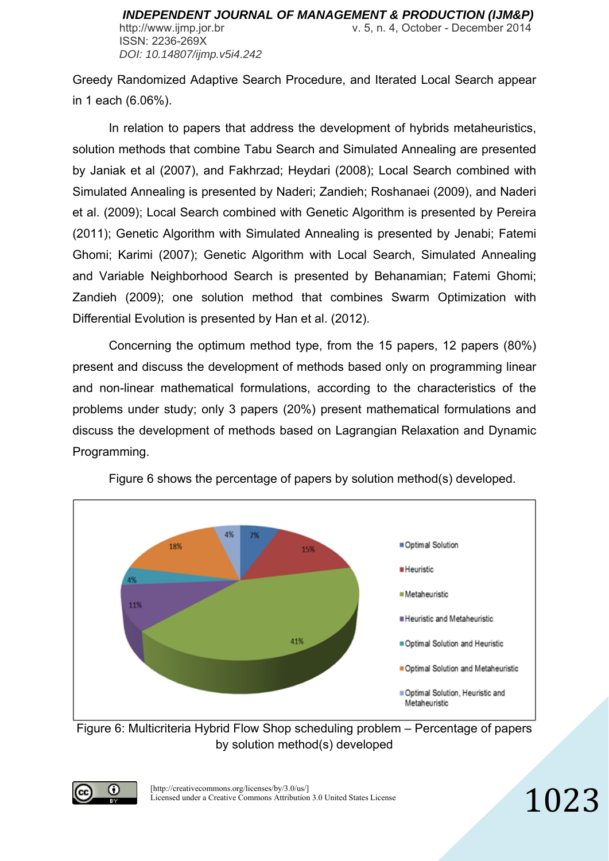http://www.ijmp.jor.br v. 5, n. 4, October - December 2014

ISSN: 2236-269X *DOI: 10.14807/ijmp.v5i4.242*

Greedy Randomized Adaptive Search Procedure, and Iterated Local Search appear in 1 each (6.06%).

In relation to papers that address the development of hybrids metaheuristics, solution methods that combine Tabu Search and Simulated Annealing are presented by Janiak et al (2007), and Fakhrzad; Heydari (2008); Local Search combined with Simulated Annealing is presented by Naderi; Zandieh; Roshanaei (2009), and Naderi et al. (2009); Local Search combined with Genetic Algorithm is presented by Pereira (2011); Genetic Algorithm with Simulated Annealing is presented by Jenabi; Fatemi Ghomi; Karimi (2007); Genetic Algorithm with Local Search, Simulated Annealing and Variable Neighborhood Search is presented by Behanamian; Fatemi Ghomi; Zandieh (2009); one solution method that combines Swarm Optimization with Differential Evolution is presented by Han et al. (2012).

Concerning the optimum method type, from the 15 papers, 12 papers (80%) present and discuss the development of methods based only on programming linear and non-linear mathematical formulations, according to the characteristics of the problems under study; only 3 papers (20%) present mathematical formulations and discuss the development of methods based on Lagrangian Relaxation and Dynamic Programming.



Figure 6 shows the percentage of papers by solution method(s) developed.

Figure 6: Multicriteria Hybrid Flow Shop scheduling problem – Percentage of papers by solution method(s) developed

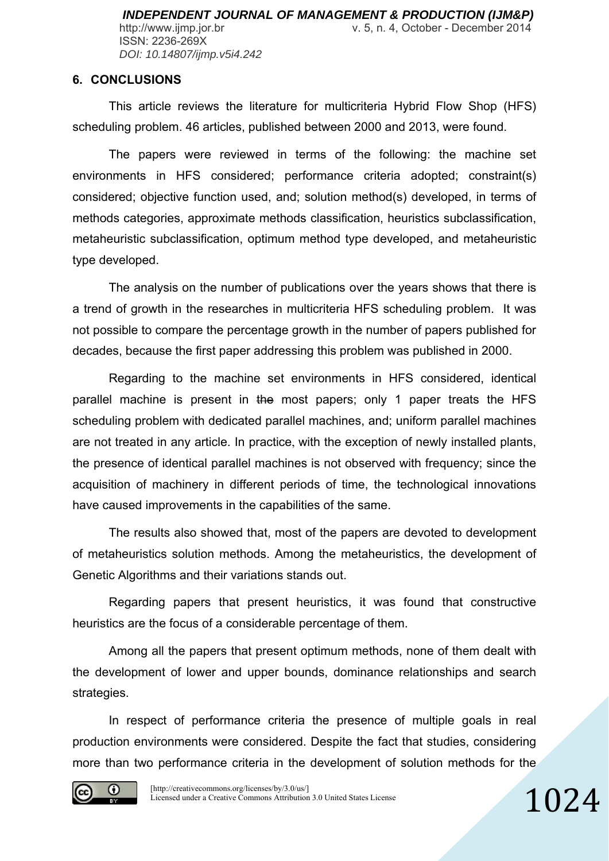http://www.ijmp.jor.br v. 5, n. 4, October - December 2014 ISSN: 2236-269X *DOI: 10.14807/ijmp.v5i4.242*

#### **6. CONCLUSIONS**

This article reviews the literature for multicriteria Hybrid Flow Shop (HFS) scheduling problem. 46 articles, published between 2000 and 2013, were found.

The papers were reviewed in terms of the following: the machine set environments in HFS considered; performance criteria adopted; constraint(s) considered; objective function used, and; solution method(s) developed, in terms of methods categories, approximate methods classification, heuristics subclassification, metaheuristic subclassification, optimum method type developed, and metaheuristic type developed.

The analysis on the number of publications over the years shows that there is a trend of growth in the researches in multicriteria HFS scheduling problem. It was not possible to compare the percentage growth in the number of papers published for decades, because the first paper addressing this problem was published in 2000.

Regarding to the machine set environments in HFS considered, identical parallel machine is present in the most papers; only 1 paper treats the HFS scheduling problem with dedicated parallel machines, and; uniform parallel machines are not treated in any article. In practice, with the exception of newly installed plants, the presence of identical parallel machines is not observed with frequency; since the acquisition of machinery in different periods of time, the technological innovations have caused improvements in the capabilities of the same.

The results also showed that, most of the papers are devoted to development of metaheuristics solution methods. Among the metaheuristics, the development of Genetic Algorithms and their variations stands out.

Regarding papers that present heuristics, it was found that constructive heuristics are the focus of a considerable percentage of them.

Among all the papers that present optimum methods, none of them dealt with the development of lower and upper bounds, dominance relationships and search strategies.

In respect of performance criteria the presence of multiple goals in real production environments were considered. Despite the fact that studies, considering more than two performance criteria in the development of solution methods for the

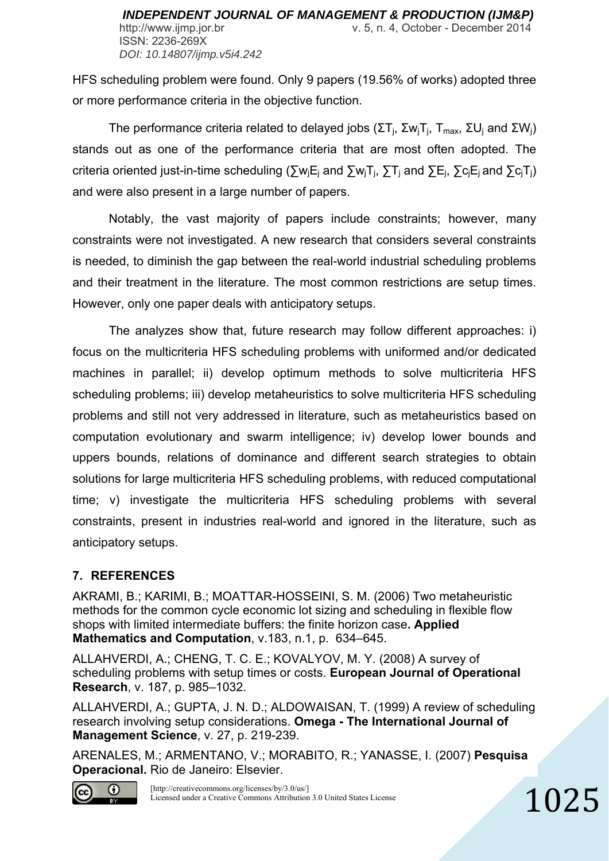HFS scheduling problem were found. Only 9 papers (19.56% of works) adopted three or more performance criteria in the objective function.

The performance criteria related to delayed jobs ( $\Sigma T_i$ ,  $\Sigma w_i T_i$ ,  $T_{max}$ ,  $\Sigma U_i$  and  $\Sigma W_i$ ) stands out as one of the performance criteria that are most often adopted. The criteria oriented just-in-time scheduling ( $\Sigma w_i E_i$  and  $\Sigma w_i T_i$ ,  $\Sigma T_i$  and  $\Sigma E_i$ ,  $\Sigma c_i E_i$  and  $\Sigma c_i T_i$ ) and were also present in a large number of papers.

Notably, the vast majority of papers include constraints; however, many constraints were not investigated. A new research that considers several constraints is needed, to diminish the gap between the real-world industrial scheduling problems and their treatment in the literature. The most common restrictions are setup times. However, only one paper deals with anticipatory setups.

The analyzes show that, future research may follow different approaches: i) focus on the multicriteria HFS scheduling problems with uniformed and/or dedicated machines in parallel; ii) develop optimum methods to solve multicriteria HFS scheduling problems; iii) develop metaheuristics to solve multicriteria HFS scheduling problems and still not very addressed in literature, such as metaheuristics based on computation evolutionary and swarm intelligence; iv) develop lower bounds and uppers bounds, relations of dominance and different search strategies to obtain solutions for large multicriteria HFS scheduling problems, with reduced computational time; v) investigate the multicriteria HFS scheduling problems with several constraints, present in industries real-world and ignored in the literature, such as anticipatory setups.

# **7. REFERENCES**

AKRAMI, B.; KARIMI, B.; MOATTAR-HOSSEINI, S. M. (2006) Two metaheuristic methods for the common cycle economic lot sizing and scheduling in flexible flow shops with limited intermediate buffers: the finite horizon case**. Applied Mathematics and Computation**, v.183, n.1, p. 634–645.

ALLAHVERDI, A.; CHENG, T. C. E.; KOVALYOV, M. Y. (2008) A survey of scheduling problems with setup times or costs. **European Journal of Operational Research**, v. 187, p. 985–1032.

ALLAHVERDI, A.; GUPTA, J. N. D.; ALDOWAISAN, T. (1999) A review of scheduling research involving setup considerations. **Omega - The International Journal of Management Science**, v. 27, p. 219-239.

ARENALES, M.; ARMENTANO, V.; MORABITO, R.; YANASSE, I. (2007) **Pesquisa Operacional.** Rio de Janeiro: Elsevier.



[http://creativecommons.org/licenses/by/3.0/us/] Licensed under a Creative Commons Attribution 3.0 United States License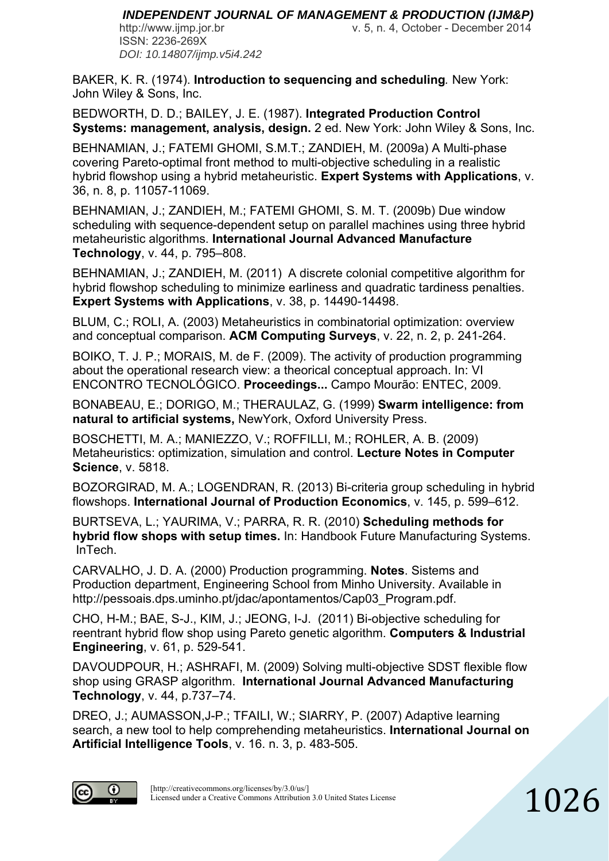ISSN: 2236-269X *DOI: 10.14807/ijmp.v5i4.242*

http://www.ijmp.jor.br v. 5, n. 4, October - December 2014

BAKER, K. R. (1974). **Introduction to sequencing and scheduling***.* New York: John Wiley & Sons, Inc.

BEDWORTH, D. D.; BAILEY, J. E. (1987). **Integrated Production Control Systems: management, analysis, design.** 2 ed. New York: John Wiley & Sons, Inc.

BEHNAMIAN, J.; FATEMI GHOMI, S.M.T.; ZANDIEH, M. (2009a) A Multi-phase covering Pareto-optimal front method to multi-objective scheduling in a realistic hybrid flowshop using a hybrid metaheuristic. **Expert Systems with Applications**, v. 36, n. 8, p. 11057-11069.

BEHNAMIAN, J.; ZANDIEH, M.; FATEMI GHOMI, S. M. T. (2009b) Due window scheduling with sequence-dependent setup on parallel machines using three hybrid metaheuristic algorithms. **International Journal Advanced Manufacture Technology**, v. 44, p. 795–808.

BEHNAMIAN, J.; ZANDIEH, M. (2011) A discrete colonial competitive algorithm for hybrid flowshop scheduling to minimize earliness and quadratic tardiness penalties. **Expert Systems with Applications**, v. 38, p. 14490-14498.

BLUM, C.; ROLI, A. (2003) Metaheuristics in combinatorial optimization: overview and conceptual comparison. **ACM Computing Surveys**, v. 22, n. 2, p. 241-264.

BOIKO, T. J. P.; MORAIS, M. de F. (2009). The activity of production programming about the operational research view: a theorical conceptual approach. In: VI ENCONTRO TECNOLÓGICO. **Proceedings...** Campo Mourão: ENTEC, 2009.

BONABEAU, E.; DORIGO, M.; THERAULAZ, G. (1999) **Swarm intelligence: from natural to artificial systems,** NewYork, Oxford University Press.

BOSCHETTI, M. A.; MANIEZZO, V.; ROFFILLI, M.; ROHLER, A. B. (2009) Metaheuristics: optimization, simulation and control. **Lecture Notes in Computer Science**, v. 5818.

BOZORGIRAD, M. A.; LOGENDRAN, R. (2013) Bi-criteria group scheduling in hybrid flowshops. **International Journal of Production Economics**, v. 145, p. 599–612.

BURTSEVA, L.; YAURIMA, V.; PARRA, R. R. (2010) **Scheduling methods for hybrid flow shops with setup times.** In: Handbook Future Manufacturing Systems. InTech.

CARVALHO, J. D. A. (2000) Production programming. **Notes**. Sistems and Production department, Engineering School from Minho University. Available in http://pessoais.dps.uminho.pt/idac/apontamentos/Cap03\_Program.pdf.

CHO, H-M.; BAE, S-J., KIM, J.; JEONG, I-J. (2011) Bi-objective scheduling for reentrant hybrid flow shop using Pareto genetic algorithm. **Computers & Industrial Engineering**, v. 61, p. 529-541.

DAVOUDPOUR, H.; ASHRAFI, M. (2009) Solving multi-objective SDST flexible flow shop using GRASP algorithm. **International Journal Advanced Manufacturing Technology**, v. 44, p.737–74.

DREO, J.; AUMASSON,J-P.; TFAILI, W.; SIARRY, P. (2007) Adaptive learning search, a new tool to help comprehending metaheuristics. **International Journal on Artificial Intelligence Tools**, v. 16. n. 3, p. 483-505.

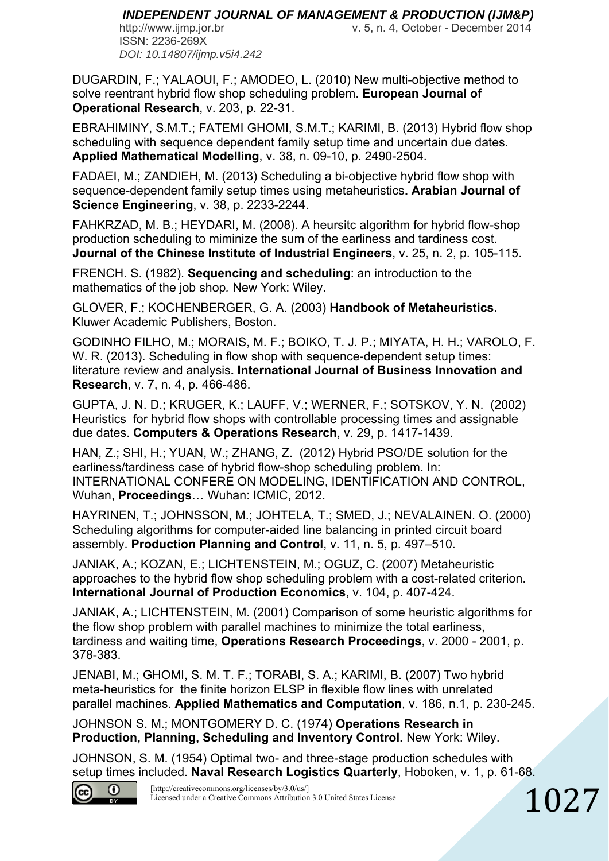ISSN: 2236-269X *DOI: 10.14807/ijmp.v5i4.242*

http://www.ijmp.jor.br v. 5, n. 4, October - December 2014

DUGARDIN, F.; YALAOUI, F.; AMODEO, L. (2010) New multi-objective method to solve reentrant hybrid flow shop scheduling problem. **European Journal of Operational Research**, v. 203, p. 22-31.

EBRAHIMINY, S.M.T.; FATEMI GHOMI, S.M.T.; KARIMI, B. (2013) Hybrid flow shop scheduling with sequence dependent family setup time and uncertain due dates. **Applied Mathematical Modelling**, v. 38, n. 09-10, p. 2490-2504.

FADAEI, M.; ZANDIEH, M. (2013) Scheduling a bi-objective hybrid flow shop with sequence-dependent family setup times using metaheuristics**. Arabian Journal of Science Engineering**, v. 38, p. 2233-2244.

FAHKRZAD, M. B.; HEYDARI, M. (2008). A heursitc algorithm for hybrid flow-shop production scheduling to miminize the sum of the earliness and tardiness cost. **Journal of the Chinese Institute of Industrial Engineers**, v. 25, n. 2, p. 105-115.

FRENCH. S. (1982). **Sequencing and scheduling**: an introduction to the mathematics of the job shop*.* New York: Wiley.

GLOVER, F.; KOCHENBERGER, G. A. (2003) **Handbook of Metaheuristics.** Kluwer Academic Publishers, Boston.

GODINHO FILHO, M.; MORAIS, M. F.; BOIKO, T. J. P.; MIYATA, H. H.; VAROLO, F. W. R. (2013). Scheduling in flow shop with sequence-dependent setup times: literature review and analysis**. International Journal of Business Innovation and Research**, v. 7, n. 4, p. 466-486.

GUPTA, J. N. D.; KRUGER, K.; LAUFF, V.; WERNER, F.; SOTSKOV, Y. N. (2002) Heuristics for hybrid flow shops with controllable processing times and assignable due dates. **Computers & Operations Research**, v. 29, p. 1417-1439.

HAN, Z.; SHI, H.; YUAN, W.; ZHANG, Z. (2012) Hybrid PSO/DE solution for the earliness/tardiness case of hybrid flow-shop scheduling problem. In: INTERNATIONAL CONFERE ON MODELING, IDENTIFICATION AND CONTROL, Wuhan, **Proceedings**… Wuhan: ICMIC, 2012.

HAYRINEN, T.; JOHNSSON, M.; JOHTELA, T.; SMED, J.; NEVALAINEN. O. (2000) Scheduling algorithms for computer-aided line balancing in printed circuit board assembly. **Production Planning and Control**, v. 11, n. 5, p. 497–510.

JANIAK, A.; KOZAN, E.; LICHTENSTEIN, M.; OGUZ, C. (2007) Metaheuristic approaches to the hybrid flow shop scheduling problem with a cost-related criterion. **International Journal of Production Economics**, v. 104, p. 407-424.

JANIAK, A.; LICHTENSTEIN, M. (2001) Comparison of some heuristic algorithms for the flow shop problem with parallel machines to minimize the total earliness, tardiness and waiting time, **Operations Research Proceedings**, v. 2000 - 2001, p. 378-383.

JENABI, M.; GHOMI, S. M. T. F.; TORABI, S. A.; KARIMI, B. (2007) Two hybrid meta-heuristics for the finite horizon ELSP in flexible flow lines with unrelated parallel machines. **Applied Mathematics and Computation**, v. 186, n.1, p. 230-245.

JOHNSON S. M.; MONTGOMERY D. C. (1974) **Operations Research in Production, Planning, Scheduling and Inventory Control.** New York: Wiley.

JOHNSON, S. M. (1954) Optimal two- and three-stage production schedules with setup times included. **Naval Research Logistics Quarterly**, Hoboken, v. 1, p. 61-68.

1027



[http://creativecommons.org/licenses/by/3.0/us/] Licensed under a Creative Commons Attribution 3.0 United States License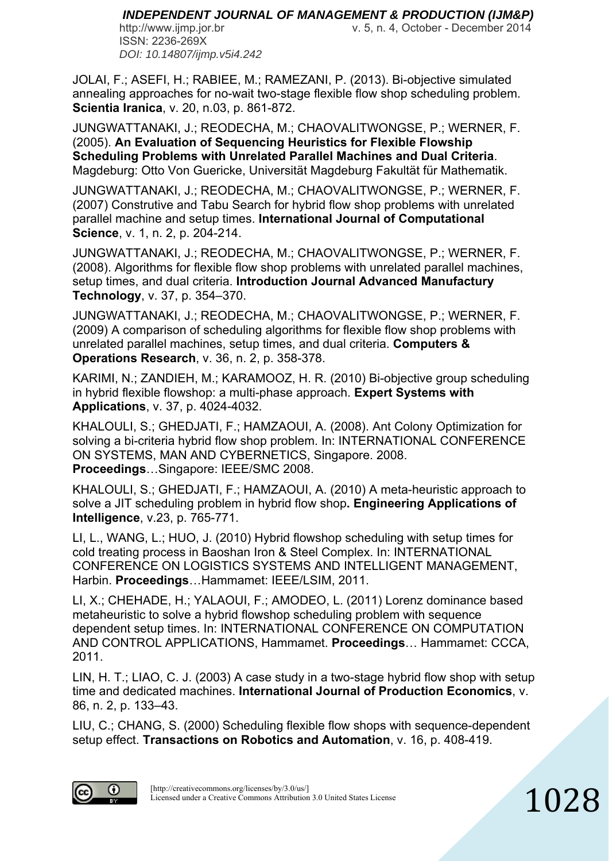http://www.ijmp.jor.br v. 5, n. 4, October - December 2014

ISSN: 2236-269X *DOI: 10.14807/ijmp.v5i4.242*

JOLAI, F.; ASEFI, H.; RABIEE, M.; RAMEZANI, P. (2013). Bi-objective simulated annealing approaches for no-wait two-stage flexible flow shop scheduling problem. **Scientia Iranica**, v. 20, n.03, p. 861-872.

JUNGWATTANAKI, J.; REODECHA, M.; CHAOVALITWONGSE, P.; WERNER, F. (2005). **An Evaluation of Sequencing Heuristics for Flexible Flowship Scheduling Problems with Unrelated Parallel Machines and Dual Criteria**. Magdeburg: Otto Von Guericke, Universität Magdeburg Fakultät für Mathematik.

JUNGWATTANAKI, J.; REODECHA, M.; CHAOVALITWONGSE, P.; WERNER, F. (2007) Construtive and Tabu Search for hybrid flow shop problems with unrelated parallel machine and setup times. **International Journal of Computational Science**, v. 1, n. 2, p. 204-214.

JUNGWATTANAKI, J.; REODECHA, M.; CHAOVALITWONGSE, P.; WERNER, F. (2008). Algorithms for flexible flow shop problems with unrelated parallel machines, setup times, and dual criteria. **Introduction Journal Advanced Manufactury Technology**, v. 37, p. 354–370.

JUNGWATTANAKI, J.; REODECHA, M.; CHAOVALITWONGSE, P.; WERNER, F. (2009) A comparison of scheduling algorithms for flexible flow shop problems with unrelated parallel machines, setup times, and dual criteria. **Computers & Operations Research**, v. 36, n. 2, p. 358-378.

KARIMI, N.; ZANDIEH, M.; KARAMOOZ, H. R. (2010) Bi-objective group scheduling in hybrid flexible flowshop: a multi-phase approach. **Expert Systems with Applications**, v. 37, p. 4024-4032.

KHALOULI, S.; GHEDJATI, F.; HAMZAOUI, A. (2008). Ant Colony Optimization for solving a bi-criteria hybrid flow shop problem. In: INTERNATIONAL CONFERENCE ON SYSTEMS, MAN AND CYBERNETICS, Singapore. 2008. **Proceedings**…Singapore: IEEE/SMC 2008.

KHALOULI, S.; GHEDJATI, F.; HAMZAOUI, A. (2010) A meta-heuristic approach to solve a JIT scheduling problem in hybrid flow shop**. Engineering Applications of Intelligence**, v.23, p. 765-771.

LI, L., WANG, L.; HUO, J. (2010) Hybrid flowshop scheduling with setup times for cold treating process in Baoshan Iron & Steel Complex. In: INTERNATIONAL CONFERENCE ON LOGISTICS SYSTEMS AND INTELLIGENT MANAGEMENT, Harbin. **Proceedings**…Hammamet: IEEE/LSIM, 2011.

LI, X.; CHEHADE, H.; YALAOUI, F.; AMODEO, L. (2011) Lorenz dominance based metaheuristic to solve a hybrid flowshop scheduling problem with sequence dependent setup times. In: INTERNATIONAL CONFERENCE ON COMPUTATION AND CONTROL APPLICATIONS, Hammamet. **Proceedings**… Hammamet: CCCA, 2011.

LIN, H. T.; LIAO, C. J. (2003) A case study in a two-stage hybrid flow shop with setup time and dedicated machines. **International Journal of Production Economics**, v. 86, n. 2, p. 133–43.

LIU, C.; CHANG, S. (2000) Scheduling flexible flow shops with sequence-dependent setup effect. **Transactions on Robotics and Automation**, v. 16, p. 408-419.

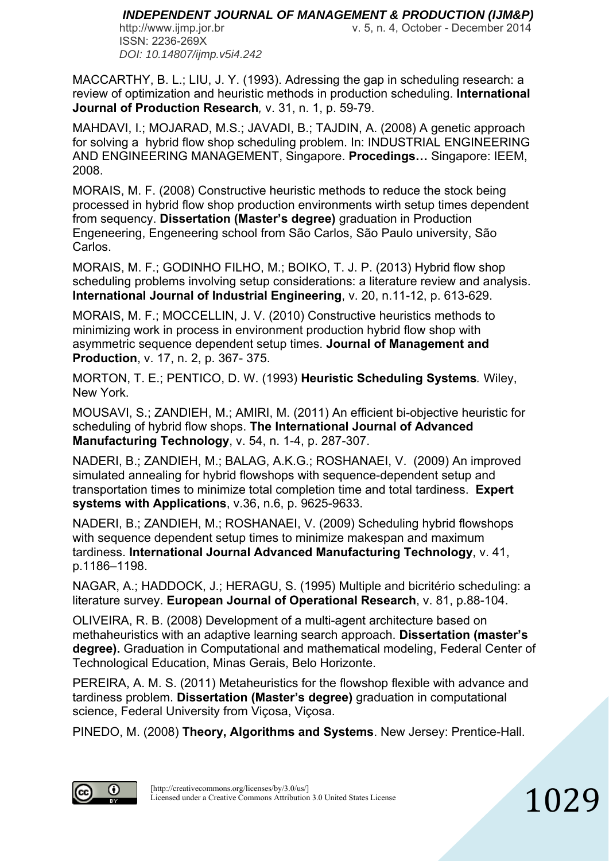ISSN: 2236-269X *DOI: 10.14807/ijmp.v5i4.242*

http://www.ijmp.jor.br v. 5, n. 4, October - December 2014

1029

MACCARTHY, B. L.; LIU, J. Y. (1993). Adressing the gap in scheduling research: a review of optimization and heuristic methods in production scheduling. **International Journal of Production Research***,* v. 31, n. 1, p. 59-79.

MAHDAVI, I.; MOJARAD, M.S.; JAVADI, B.; TAJDIN, A. (2008) A genetic approach for solving a hybrid flow shop scheduling problem. In: INDUSTRIAL ENGINEERING AND ENGINEERING MANAGEMENT, Singapore. **Procedings…** Singapore: IEEM, 2008.

MORAIS, M. F. (2008) Constructive heuristic methods to reduce the stock being processed in hybrid flow shop production environments wirth setup times dependent from sequency. **Dissertation (Master's degree)** graduation in Production Engeneering, Engeneering school from São Carlos, São Paulo university, São Carlos.

MORAIS, M. F.; GODINHO FILHO, M.; BOIKO, T. J. P. (2013) Hybrid flow shop scheduling problems involving setup considerations: a literature review and analysis. **International Journal of Industrial Engineering**, v. 20, n.11-12, p. 613-629.

MORAIS, M. F.; MOCCELLIN, J. V. (2010) Constructive heuristics methods to minimizing work in process in environment production hybrid flow shop with asymmetric sequence dependent setup times. **Journal of Management and Production**, v. 17, n. 2, p. 367- 375.

MORTON, T. E.; PENTICO, D. W. (1993) **Heuristic Scheduling Systems***.* Wiley, New York.

MOUSAVI, S.; ZANDIEH, M.; AMIRI, M. (2011) An efficient bi-objective heuristic for scheduling of hybrid flow shops. **The International Journal of Advanced Manufacturing Technology**, v. 54, n. 1-4, p. 287-307.

NADERI, B.; ZANDIEH, M.; BALAG, A.K.G.; ROSHANAEI, V. (2009) An improved simulated annealing for hybrid flowshops with sequence-dependent setup and transportation times to minimize total completion time and total tardiness. **Expert systems with Applications**, v.36, n.6, p. 9625-9633.

NADERI, B.; ZANDIEH, M.; ROSHANAEI, V. (2009) Scheduling hybrid flowshops with sequence dependent setup times to minimize makespan and maximum tardiness. **International Journal Advanced Manufacturing Technology**, v. 41, p.1186–1198.

NAGAR, A.; HADDOCK, J.; HERAGU, S. (1995) Multiple and bicritério scheduling: a literature survey. **European Journal of Operational Research**, v. 81, p.88-104.

OLIVEIRA, R. B. (2008) Development of a multi-agent architecture based on methaheuristics with an adaptive learning search approach. **Dissertation (master's degree).** Graduation in Computational and mathematical modeling, Federal Center of Technological Education, Minas Gerais, Belo Horizonte.

PEREIRA, A. M. S. (2011) Metaheuristics for the flowshop flexible with advance and tardiness problem. **Dissertation (Master's degree)** graduation in computational science, Federal University from Viçosa, Viçosa.

PINEDO, M. (2008) **Theory, Algorithms and Systems**. New Jersey: Prentice-Hall.

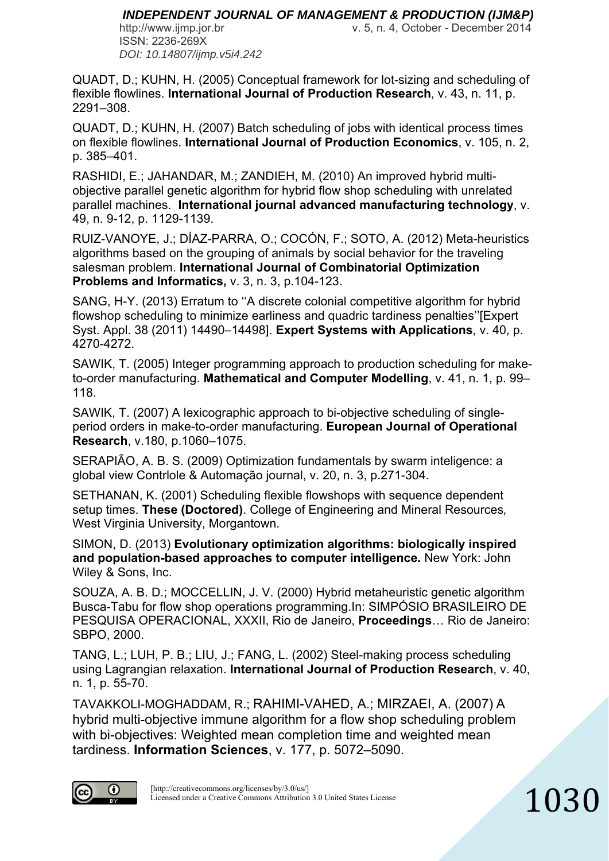ISSN: 2236-269X *DOI: 10.14807/ijmp.v5i4.242*

http://www.ijmp.jor.br v. 5, n. 4, October - December 2014

1030

QUADT, D.; KUHN, H. (2005) Conceptual framework for lot-sizing and scheduling of flexible flowlines. **International Journal of Production Research**, v. 43, n. 11, p. 2291–308.

QUADT, D.; KUHN, H. (2007) Batch scheduling of jobs with identical process times on flexible flowlines. **International Journal of Production Economics**, v. 105, n. 2, p. 385–401.

RASHIDI, E.; JAHANDAR, M.; ZANDIEH, M. (2010) An improved hybrid multiobjective parallel genetic algorithm for hybrid flow shop scheduling with unrelated parallel machines. **International journal advanced manufacturing technology**, v. 49, n. 9-12, p. 1129-1139.

RUIZ-VANOYE, J.; DÍAZ-PARRA, O.; COCÓN, F.; SOTO, A. (2012) Meta-heuristics algorithms based on the grouping of animals by social behavior for the traveling salesman problem. **International Journal of Combinatorial Optimization Problems and Informatics,** v. 3, n. 3, p.104-123.

SANG, H-Y. (2013) Erratum to ''A discrete colonial competitive algorithm for hybrid flowshop scheduling to minimize earliness and quadric tardiness penalties''[Expert Syst. Appl. 38 (2011) 14490–14498]. **Expert Systems with Applications**, v. 40, p. 4270-4272.

SAWIK, T. (2005) Integer programming approach to production scheduling for maketo-order manufacturing. **Mathematical and Computer Modelling**, v. 41, n. 1, p. 99– 118.

SAWIK, T. (2007) A lexicographic approach to bi-objective scheduling of singleperiod orders in make-to-order manufacturing. **European Journal of Operational Research**, v.180, p.1060–1075.

SERAPIÃO, A. B. S. (2009) Optimization fundamentals by swarm inteligence: a global view Contrlole & Automação journal, v. 20, n. 3, p.271-304.

SETHANAN, K. (2001) Scheduling flexible flowshops with sequence dependent setup times. **These (Doctored)**. College of Engineering and Mineral Resources*,* West Virginia University, Morgantown.

SIMON, D. (2013) **Evolutionary optimization algorithms: biologically inspired and population-based approaches to computer intelligence.** New York: John Wiley & Sons, Inc.

SOUZA, A. B. D.; MOCCELLIN, J. V. (2000) Hybrid metaheuristic genetic algorithm Busca-Tabu for flow shop operations programming.In: SIMPÓSIO BRASILEIRO DE PESQUISA OPERACIONAL, XXXII, Rio de Janeiro, **Proceedings**… Rio de Janeiro: SBPO, 2000.

TANG, L.; LUH, P. B.; LIU, J.; FANG, L. (2002) Steel-making process scheduling using Lagrangian relaxation. **International Journal of Production Research**, v. 40, n. 1, p. 55-70.

TAVAKKOLI-MOGHADDAM, R.; RAHIMI-VAHED, A.; MIRZAEI, A. (2007) A hybrid multi-objective immune algorithm for a flow shop scheduling problem with bi-objectives: Weighted mean completion time and weighted mean tardiness. **Information Sciences**, v. 177, p. 5072–5090.